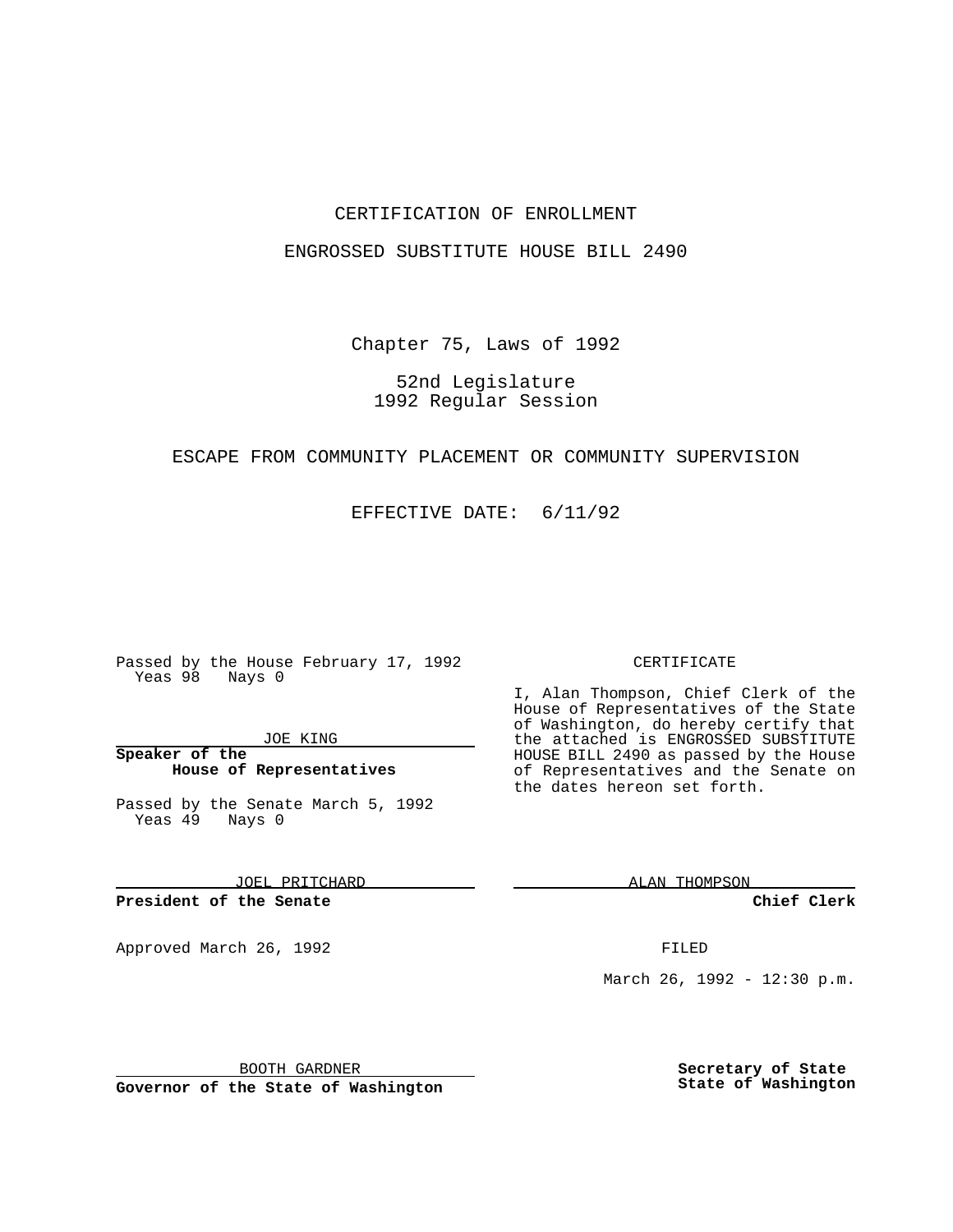### CERTIFICATION OF ENROLLMENT

#### ENGROSSED SUBSTITUTE HOUSE BILL 2490

Chapter 75, Laws of 1992

## 52nd Legislature 1992 Regular Session

#### ESCAPE FROM COMMUNITY PLACEMENT OR COMMUNITY SUPERVISION

EFFECTIVE DATE: 6/11/92

Passed by the House February 17, 1992 Yeas 98 Nays 0

JOE KING

## **Speaker of the House of Representatives**

Passed by the Senate March 5, 1992 Yeas 49 Nays 0

JOEL PRITCHARD

# **President of the Senate**

Approved March 26, 1992 **FILED** 

#### CERTIFICATE

I, Alan Thompson, Chief Clerk of the House of Representatives of the State of Washington, do hereby certify that the attached is ENGROSSED SUBSTITUTE HOUSE BILL 2490 as passed by the House of Representatives and the Senate on the dates hereon set forth.

ALAN THOMPSON

**Chief Clerk**

March 26, 1992 - 12:30 p.m.

BOOTH GARDNER

**Governor of the State of Washington**

**Secretary of State State of Washington**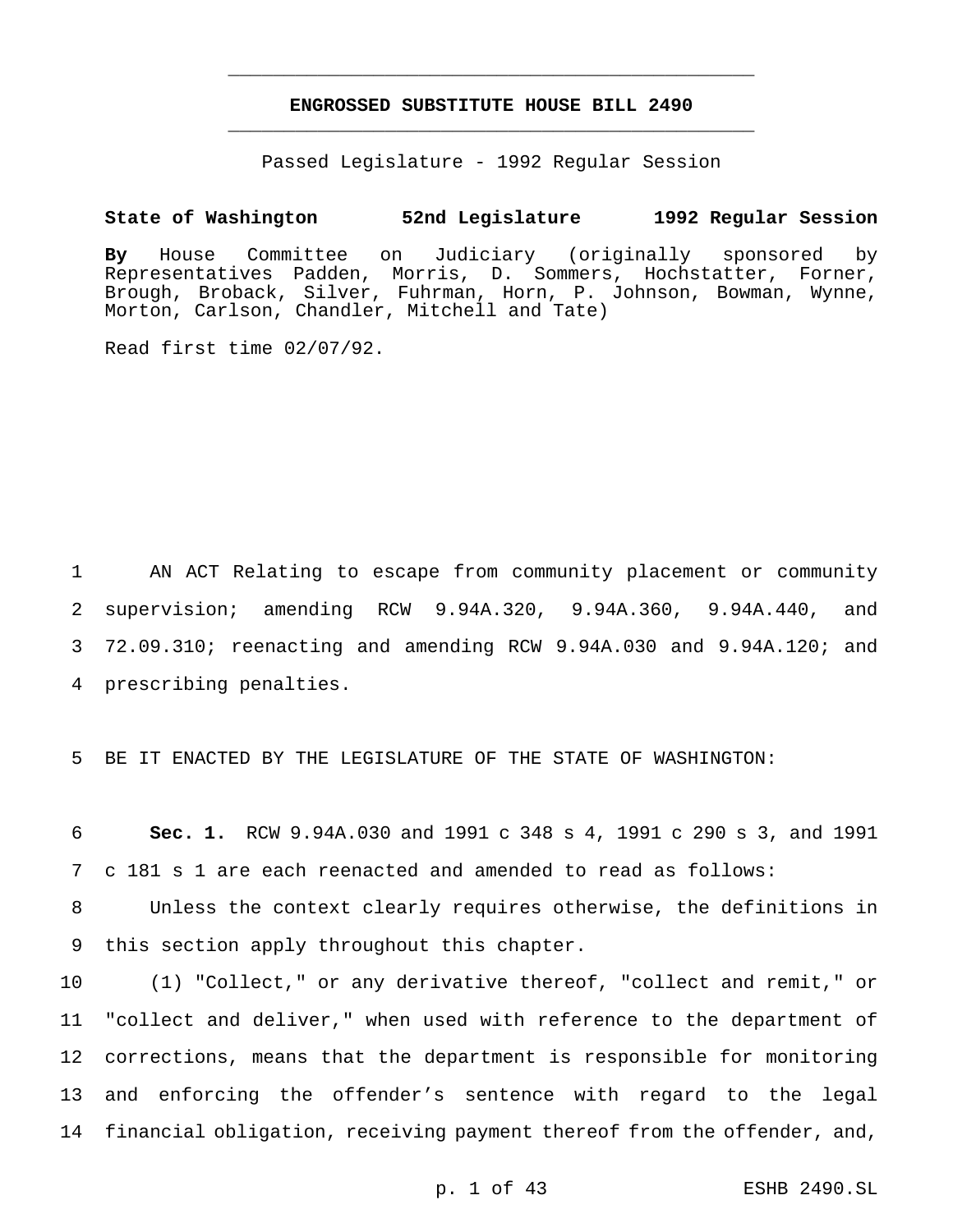## **ENGROSSED SUBSTITUTE HOUSE BILL 2490** \_\_\_\_\_\_\_\_\_\_\_\_\_\_\_\_\_\_\_\_\_\_\_\_\_\_\_\_\_\_\_\_\_\_\_\_\_\_\_\_\_\_\_\_\_\_\_

\_\_\_\_\_\_\_\_\_\_\_\_\_\_\_\_\_\_\_\_\_\_\_\_\_\_\_\_\_\_\_\_\_\_\_\_\_\_\_\_\_\_\_\_\_\_\_

Passed Legislature - 1992 Regular Session

#### **State of Washington 52nd Legislature 1992 Regular Session**

**By** House Committee on Judiciary (originally sponsored by Representatives Padden, Morris, D. Sommers, Hochstatter, Forner, Brough, Broback, Silver, Fuhrman, Horn, P. Johnson, Bowman, Wynne, Morton, Carlson, Chandler, Mitchell and Tate)

Read first time 02/07/92.

 AN ACT Relating to escape from community placement or community supervision; amending RCW 9.94A.320, 9.94A.360, 9.94A.440, and 72.09.310; reenacting and amending RCW 9.94A.030 and 9.94A.120; and prescribing penalties.

5 BE IT ENACTED BY THE LEGISLATURE OF THE STATE OF WASHINGTON:

6 **Sec. 1.** RCW 9.94A.030 and 1991 c 348 s 4, 1991 c 290 s 3, and 1991 7 c 181 s 1 are each reenacted and amended to read as follows:

8 Unless the context clearly requires otherwise, the definitions in 9 this section apply throughout this chapter.

 (1) "Collect," or any derivative thereof, "collect and remit," or "collect and deliver," when used with reference to the department of corrections, means that the department is responsible for monitoring and enforcing the offender's sentence with regard to the legal financial obligation, receiving payment thereof from the offender, and,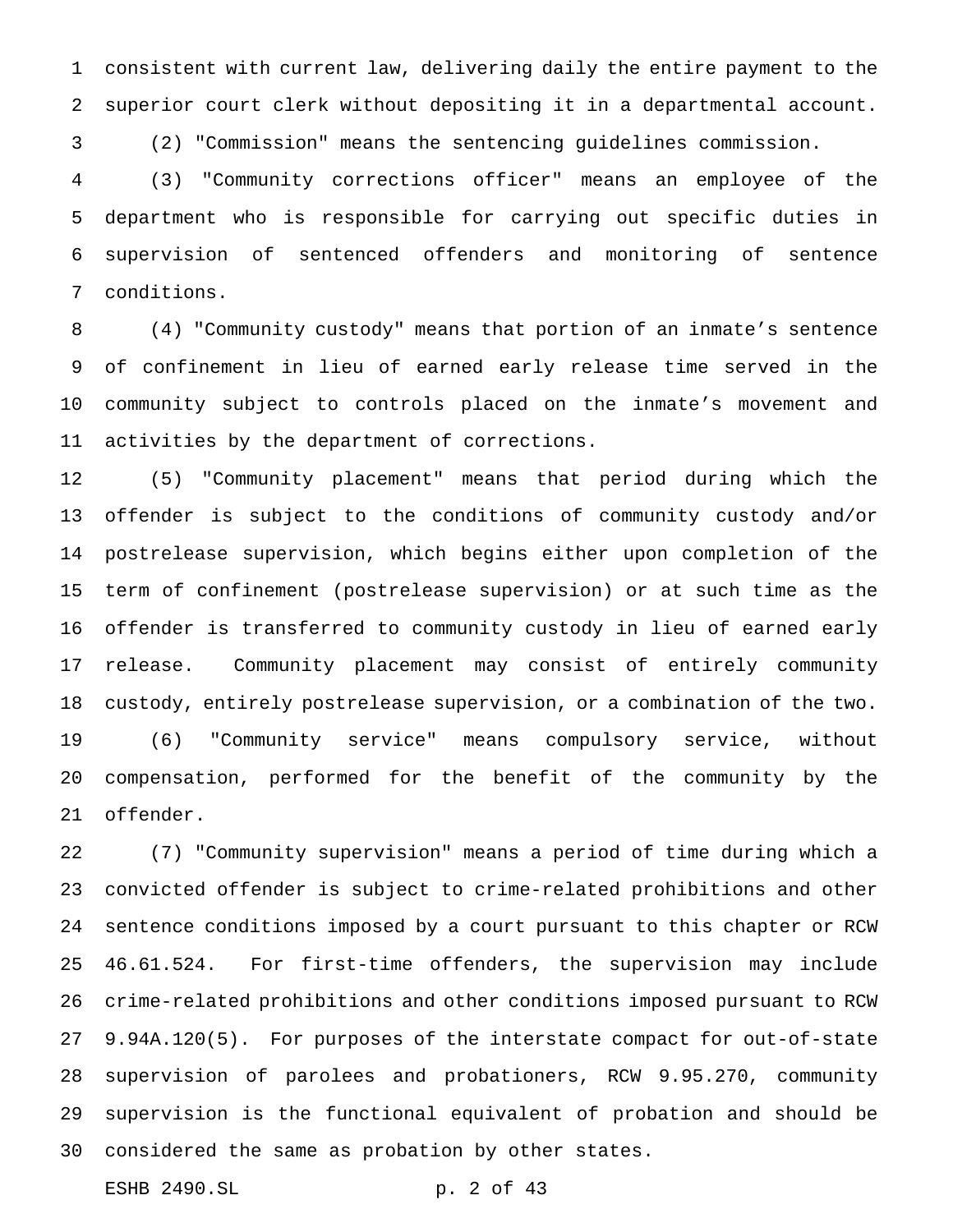consistent with current law, delivering daily the entire payment to the superior court clerk without depositing it in a departmental account.

(2) "Commission" means the sentencing guidelines commission.

 (3) "Community corrections officer" means an employee of the department who is responsible for carrying out specific duties in supervision of sentenced offenders and monitoring of sentence conditions.

 (4) "Community custody" means that portion of an inmate's sentence of confinement in lieu of earned early release time served in the community subject to controls placed on the inmate's movement and activities by the department of corrections.

 (5) "Community placement" means that period during which the offender is subject to the conditions of community custody and/or postrelease supervision, which begins either upon completion of the term of confinement (postrelease supervision) or at such time as the offender is transferred to community custody in lieu of earned early release. Community placement may consist of entirely community custody, entirely postrelease supervision, or a combination of the two. (6) "Community service" means compulsory service, without compensation, performed for the benefit of the community by the offender.

 (7) "Community supervision" means a period of time during which a convicted offender is subject to crime-related prohibitions and other sentence conditions imposed by a court pursuant to this chapter or RCW 46.61.524. For first-time offenders, the supervision may include crime-related prohibitions and other conditions imposed pursuant to RCW 9.94A.120(5). For purposes of the interstate compact for out-of-state supervision of parolees and probationers, RCW 9.95.270, community supervision is the functional equivalent of probation and should be considered the same as probation by other states.

ESHB 2490.SL p. 2 of 43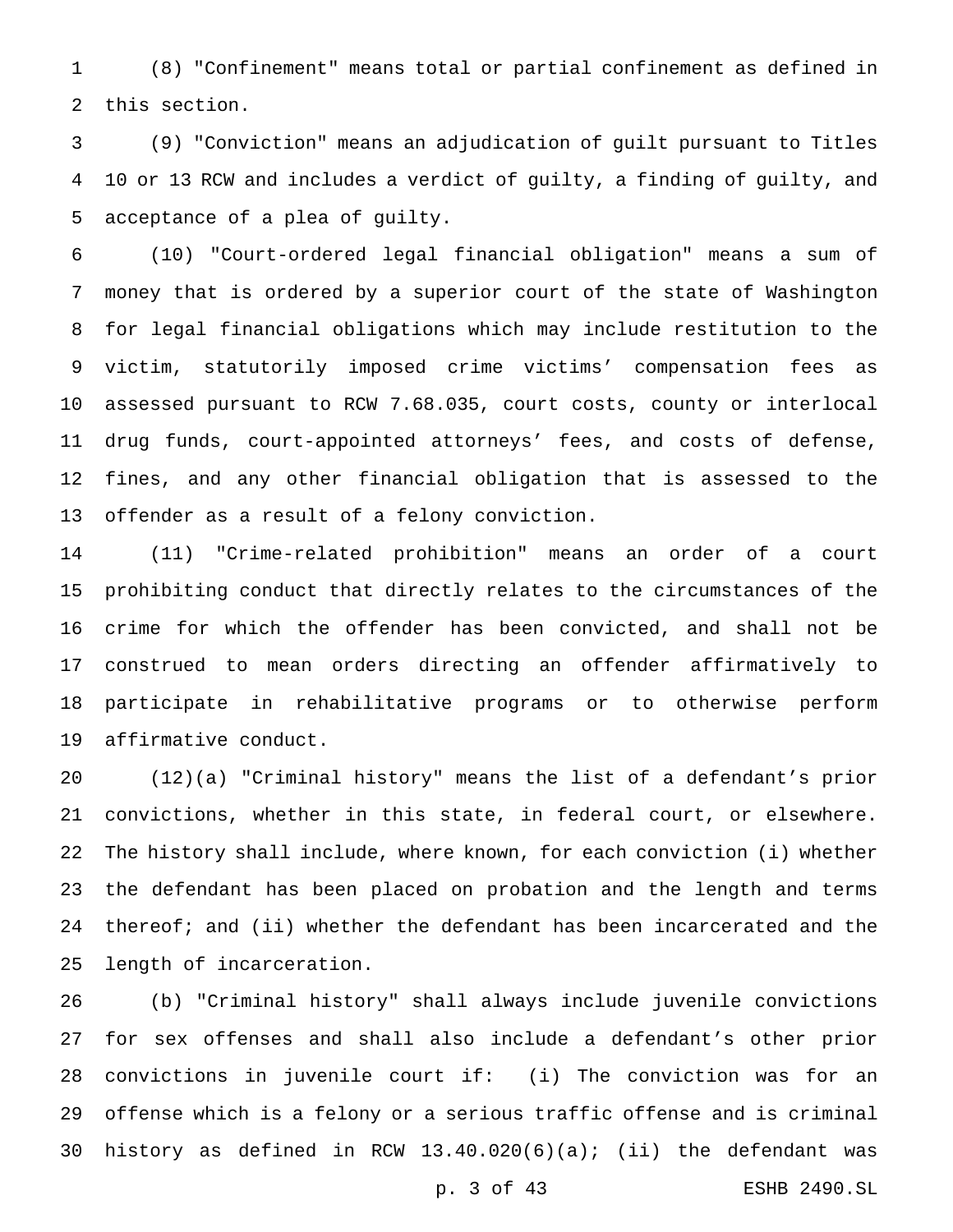(8) "Confinement" means total or partial confinement as defined in this section.

 (9) "Conviction" means an adjudication of guilt pursuant to Titles 10 or 13 RCW and includes a verdict of guilty, a finding of guilty, and acceptance of a plea of guilty.

 (10) "Court-ordered legal financial obligation" means a sum of money that is ordered by a superior court of the state of Washington for legal financial obligations which may include restitution to the victim, statutorily imposed crime victims' compensation fees as assessed pursuant to RCW 7.68.035, court costs, county or interlocal drug funds, court-appointed attorneys' fees, and costs of defense, fines, and any other financial obligation that is assessed to the offender as a result of a felony conviction.

 (11) "Crime-related prohibition" means an order of a court prohibiting conduct that directly relates to the circumstances of the crime for which the offender has been convicted, and shall not be construed to mean orders directing an offender affirmatively to participate in rehabilitative programs or to otherwise perform affirmative conduct.

 (12)(a) "Criminal history" means the list of a defendant's prior convictions, whether in this state, in federal court, or elsewhere. The history shall include, where known, for each conviction (i) whether the defendant has been placed on probation and the length and terms 24 thereof; and (ii) whether the defendant has been incarcerated and the length of incarceration.

 (b) "Criminal history" shall always include juvenile convictions for sex offenses and shall also include a defendant's other prior convictions in juvenile court if: (i) The conviction was for an offense which is a felony or a serious traffic offense and is criminal 30 history as defined in RCW  $13.40.020(6)(a)$ ; (ii) the defendant was

p. 3 of 43 ESHB 2490.SL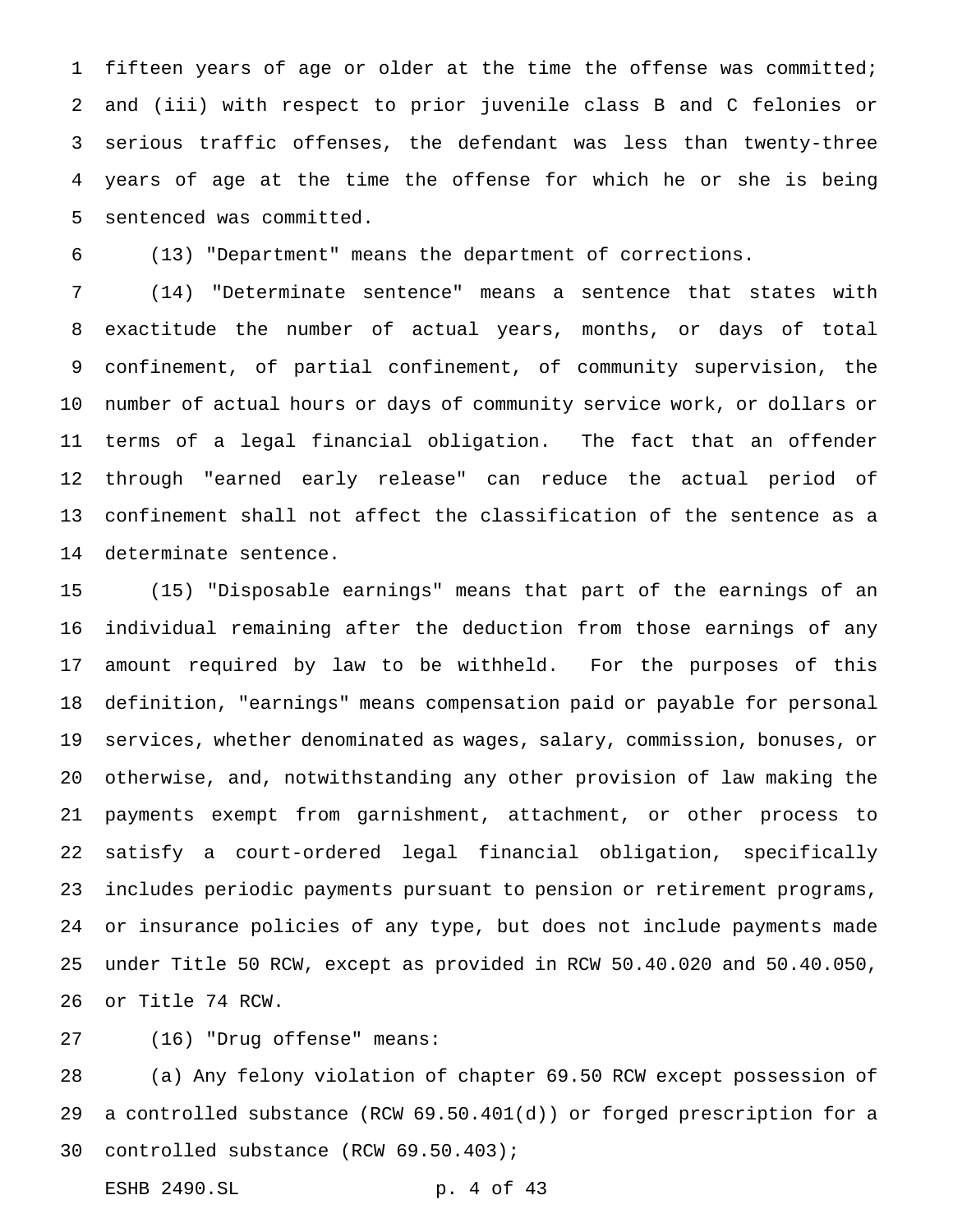fifteen years of age or older at the time the offense was committed; and (iii) with respect to prior juvenile class B and C felonies or serious traffic offenses, the defendant was less than twenty-three years of age at the time the offense for which he or she is being sentenced was committed.

(13) "Department" means the department of corrections.

 (14) "Determinate sentence" means a sentence that states with exactitude the number of actual years, months, or days of total confinement, of partial confinement, of community supervision, the number of actual hours or days of community service work, or dollars or terms of a legal financial obligation. The fact that an offender through "earned early release" can reduce the actual period of confinement shall not affect the classification of the sentence as a determinate sentence.

 (15) "Disposable earnings" means that part of the earnings of an individual remaining after the deduction from those earnings of any amount required by law to be withheld. For the purposes of this definition, "earnings" means compensation paid or payable for personal services, whether denominated as wages, salary, commission, bonuses, or otherwise, and, notwithstanding any other provision of law making the payments exempt from garnishment, attachment, or other process to satisfy a court-ordered legal financial obligation, specifically includes periodic payments pursuant to pension or retirement programs, or insurance policies of any type, but does not include payments made under Title 50 RCW, except as provided in RCW 50.40.020 and 50.40.050, or Title 74 RCW.

(16) "Drug offense" means:

 (a) Any felony violation of chapter 69.50 RCW except possession of a controlled substance (RCW 69.50.401(d)) or forged prescription for a controlled substance (RCW 69.50.403);

ESHB 2490.SL p. 4 of 43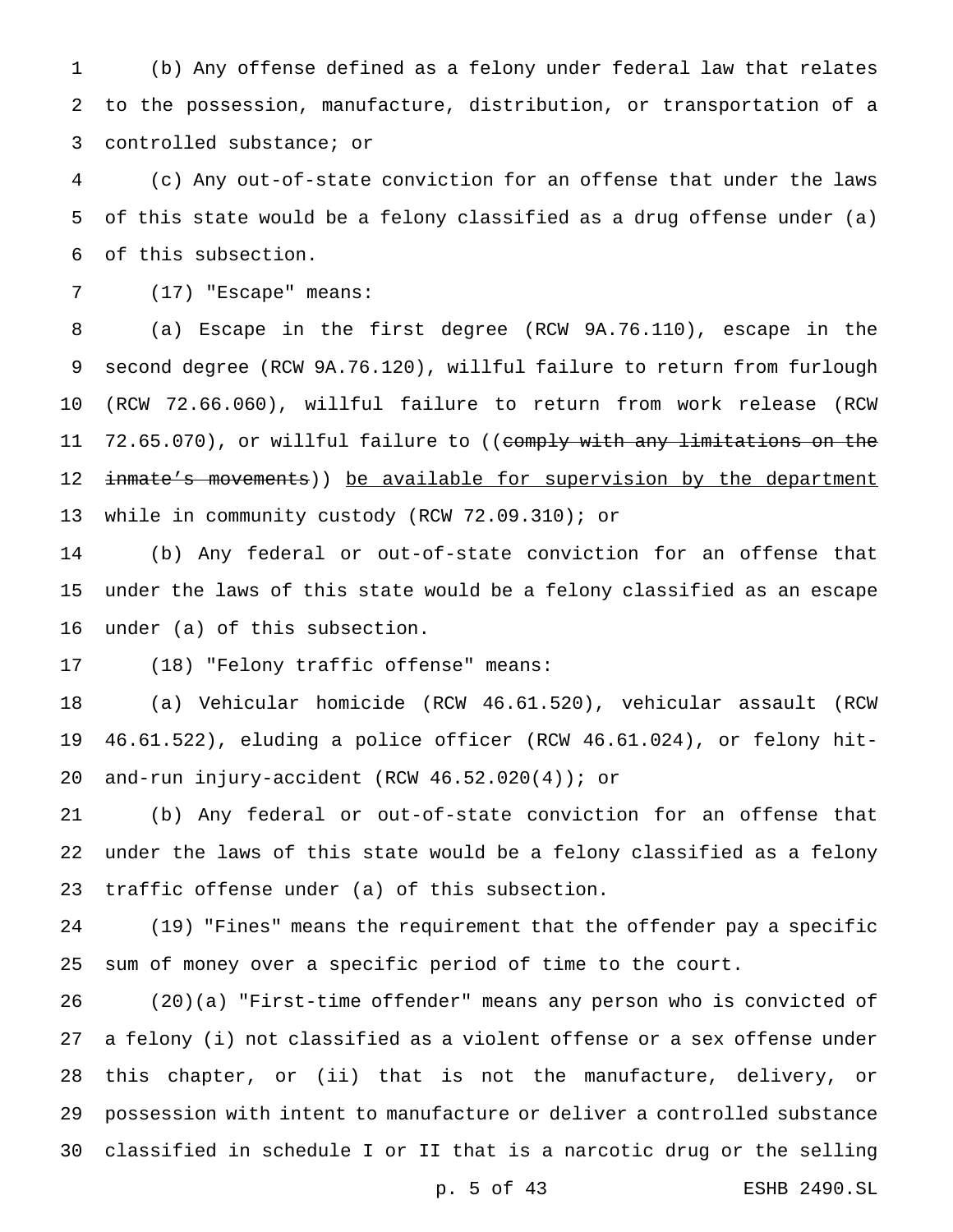(b) Any offense defined as a felony under federal law that relates to the possession, manufacture, distribution, or transportation of a controlled substance; or

 (c) Any out-of-state conviction for an offense that under the laws of this state would be a felony classified as a drug offense under (a) of this subsection.

(17) "Escape" means:

 (a) Escape in the first degree (RCW 9A.76.110), escape in the second degree (RCW 9A.76.120), willful failure to return from furlough (RCW 72.66.060), willful failure to return from work release (RCW 11 72.65.070), or willful failure to ((comply with any limitations on the 12 inmate's movements)) be available for supervision by the department while in community custody (RCW 72.09.310); or

 (b) Any federal or out-of-state conviction for an offense that under the laws of this state would be a felony classified as an escape under (a) of this subsection.

(18) "Felony traffic offense" means:

 (a) Vehicular homicide (RCW 46.61.520), vehicular assault (RCW 46.61.522), eluding a police officer (RCW 46.61.024), or felony hit-and-run injury-accident (RCW 46.52.020(4)); or

 (b) Any federal or out-of-state conviction for an offense that under the laws of this state would be a felony classified as a felony traffic offense under (a) of this subsection.

 (19) "Fines" means the requirement that the offender pay a specific sum of money over a specific period of time to the court.

 (20)(a) "First-time offender" means any person who is convicted of a felony (i) not classified as a violent offense or a sex offense under this chapter, or (ii) that is not the manufacture, delivery, or possession with intent to manufacture or deliver a controlled substance classified in schedule I or II that is a narcotic drug or the selling

p. 5 of 43 ESHB 2490.SL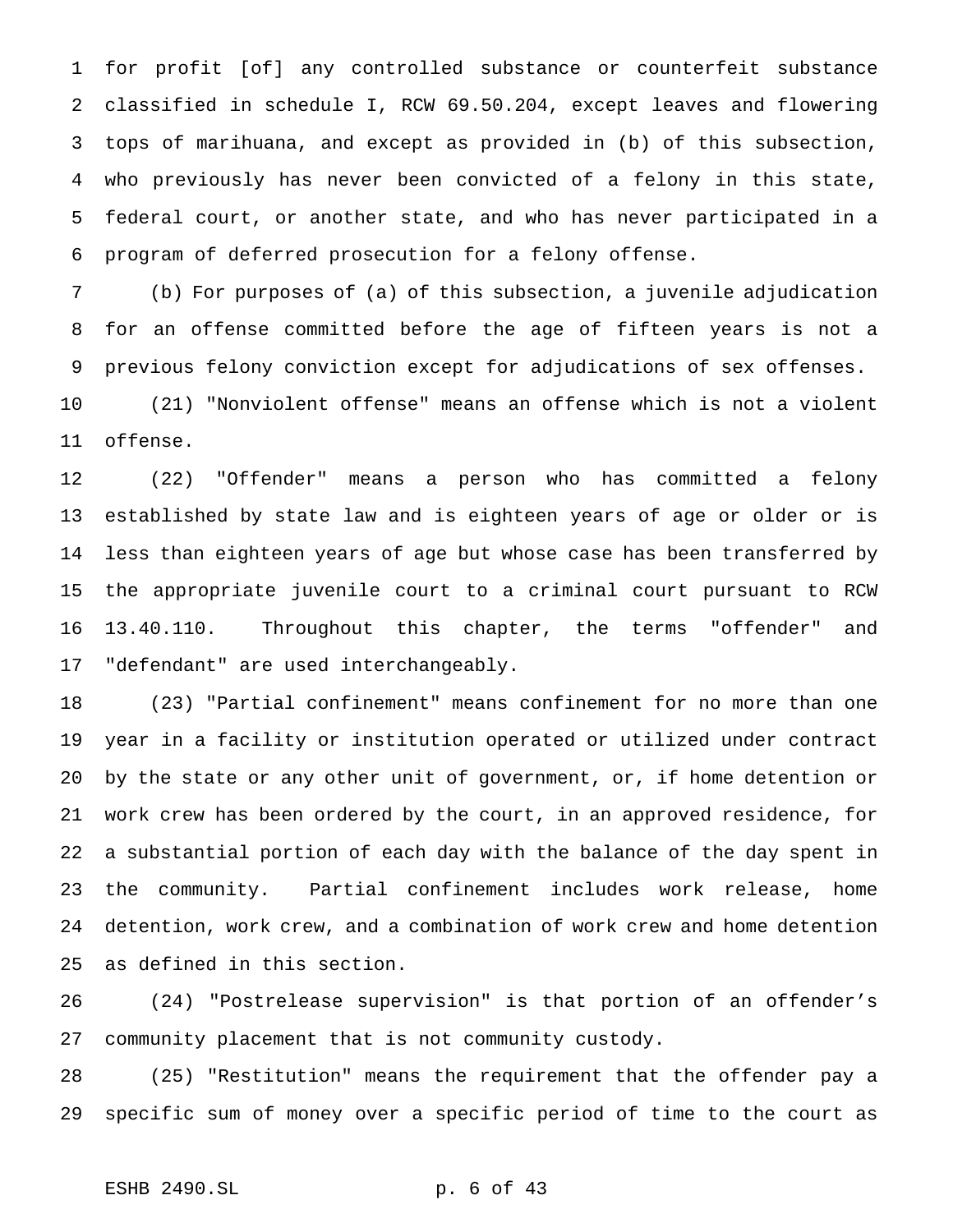for profit [of] any controlled substance or counterfeit substance classified in schedule I, RCW 69.50.204, except leaves and flowering tops of marihuana, and except as provided in (b) of this subsection, who previously has never been convicted of a felony in this state, federal court, or another state, and who has never participated in a program of deferred prosecution for a felony offense.

 (b) For purposes of (a) of this subsection, a juvenile adjudication for an offense committed before the age of fifteen years is not a previous felony conviction except for adjudications of sex offenses.

 (21) "Nonviolent offense" means an offense which is not a violent offense.

 (22) "Offender" means a person who has committed a felony established by state law and is eighteen years of age or older or is less than eighteen years of age but whose case has been transferred by the appropriate juvenile court to a criminal court pursuant to RCW 13.40.110. Throughout this chapter, the terms "offender" and "defendant" are used interchangeably.

 (23) "Partial confinement" means confinement for no more than one year in a facility or institution operated or utilized under contract by the state or any other unit of government, or, if home detention or work crew has been ordered by the court, in an approved residence, for a substantial portion of each day with the balance of the day spent in the community. Partial confinement includes work release, home detention, work crew, and a combination of work crew and home detention as defined in this section.

 (24) "Postrelease supervision" is that portion of an offender's community placement that is not community custody.

 (25) "Restitution" means the requirement that the offender pay a specific sum of money over a specific period of time to the court as

## ESHB 2490.SL p. 6 of 43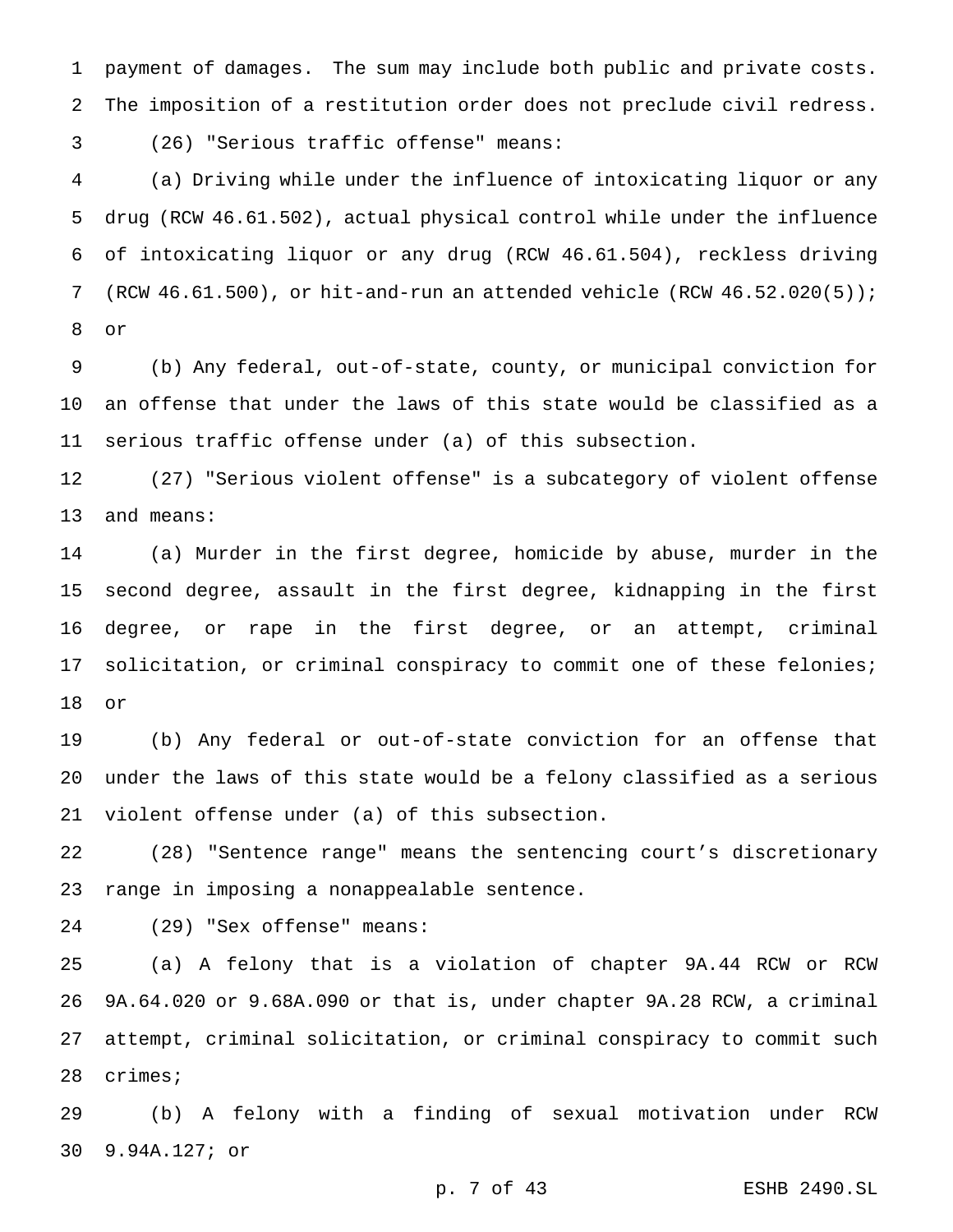payment of damages. The sum may include both public and private costs. The imposition of a restitution order does not preclude civil redress.

(26) "Serious traffic offense" means:

 (a) Driving while under the influence of intoxicating liquor or any drug (RCW 46.61.502), actual physical control while under the influence of intoxicating liquor or any drug (RCW 46.61.504), reckless driving (RCW 46.61.500), or hit-and-run an attended vehicle (RCW 46.52.020(5)); or

 (b) Any federal, out-of-state, county, or municipal conviction for an offense that under the laws of this state would be classified as a serious traffic offense under (a) of this subsection.

 (27) "Serious violent offense" is a subcategory of violent offense and means:

 (a) Murder in the first degree, homicide by abuse, murder in the second degree, assault in the first degree, kidnapping in the first degree, or rape in the first degree, or an attempt, criminal solicitation, or criminal conspiracy to commit one of these felonies; or

 (b) Any federal or out-of-state conviction for an offense that under the laws of this state would be a felony classified as a serious violent offense under (a) of this subsection.

 (28) "Sentence range" means the sentencing court's discretionary range in imposing a nonappealable sentence.

(29) "Sex offense" means:

 (a) A felony that is a violation of chapter 9A.44 RCW or RCW 9A.64.020 or 9.68A.090 or that is, under chapter 9A.28 RCW, a criminal attempt, criminal solicitation, or criminal conspiracy to commit such crimes;

 (b) A felony with a finding of sexual motivation under RCW 9.94A.127; or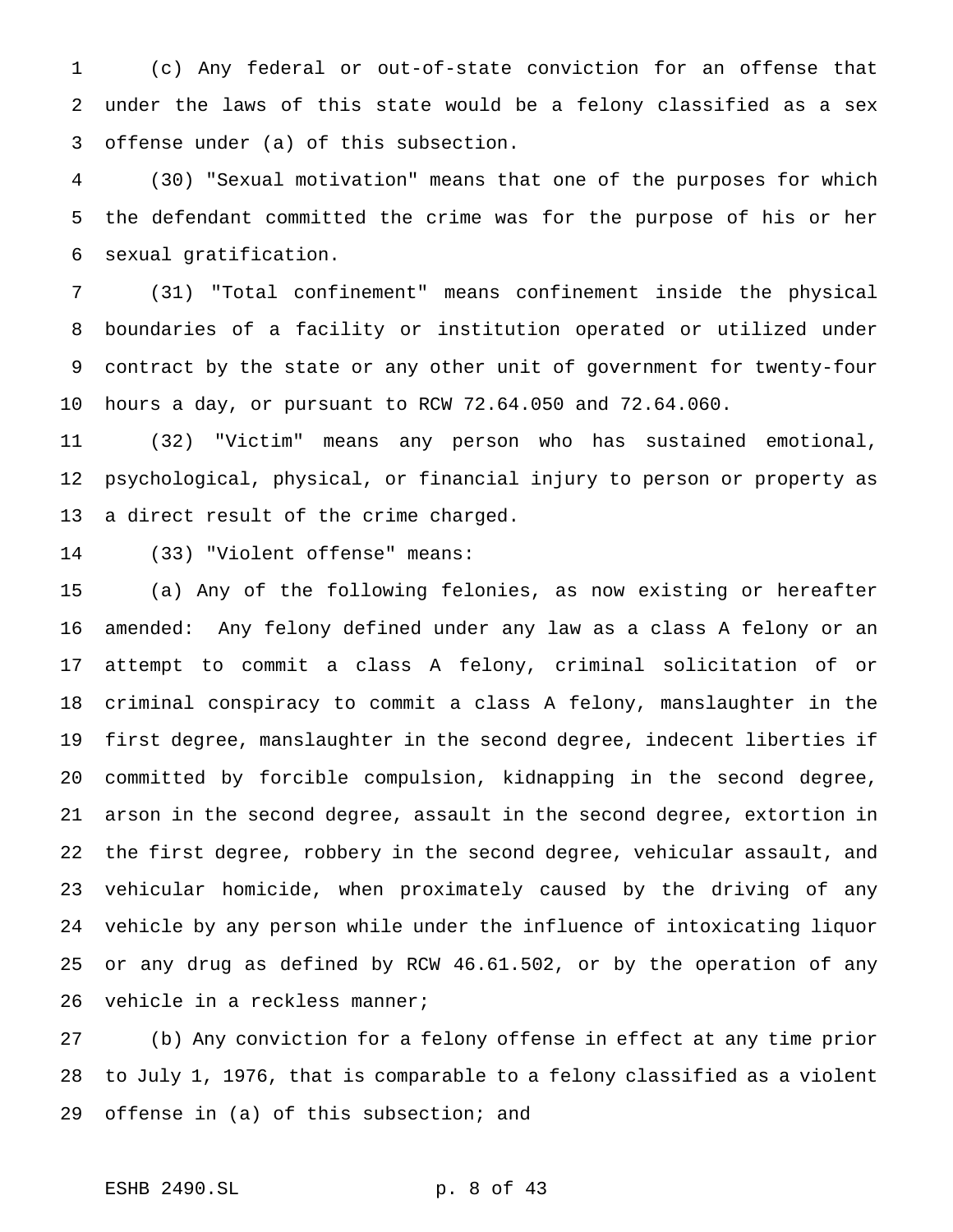(c) Any federal or out-of-state conviction for an offense that under the laws of this state would be a felony classified as a sex offense under (a) of this subsection.

 (30) "Sexual motivation" means that one of the purposes for which the defendant committed the crime was for the purpose of his or her sexual gratification.

 (31) "Total confinement" means confinement inside the physical boundaries of a facility or institution operated or utilized under contract by the state or any other unit of government for twenty-four hours a day, or pursuant to RCW 72.64.050 and 72.64.060.

 (32) "Victim" means any person who has sustained emotional, psychological, physical, or financial injury to person or property as a direct result of the crime charged.

(33) "Violent offense" means:

 (a) Any of the following felonies, as now existing or hereafter amended: Any felony defined under any law as a class A felony or an attempt to commit a class A felony, criminal solicitation of or criminal conspiracy to commit a class A felony, manslaughter in the first degree, manslaughter in the second degree, indecent liberties if committed by forcible compulsion, kidnapping in the second degree, arson in the second degree, assault in the second degree, extortion in the first degree, robbery in the second degree, vehicular assault, and vehicular homicide, when proximately caused by the driving of any vehicle by any person while under the influence of intoxicating liquor or any drug as defined by RCW 46.61.502, or by the operation of any vehicle in a reckless manner;

 (b) Any conviction for a felony offense in effect at any time prior to July 1, 1976, that is comparable to a felony classified as a violent offense in (a) of this subsection; and

# ESHB 2490.SL p. 8 of 43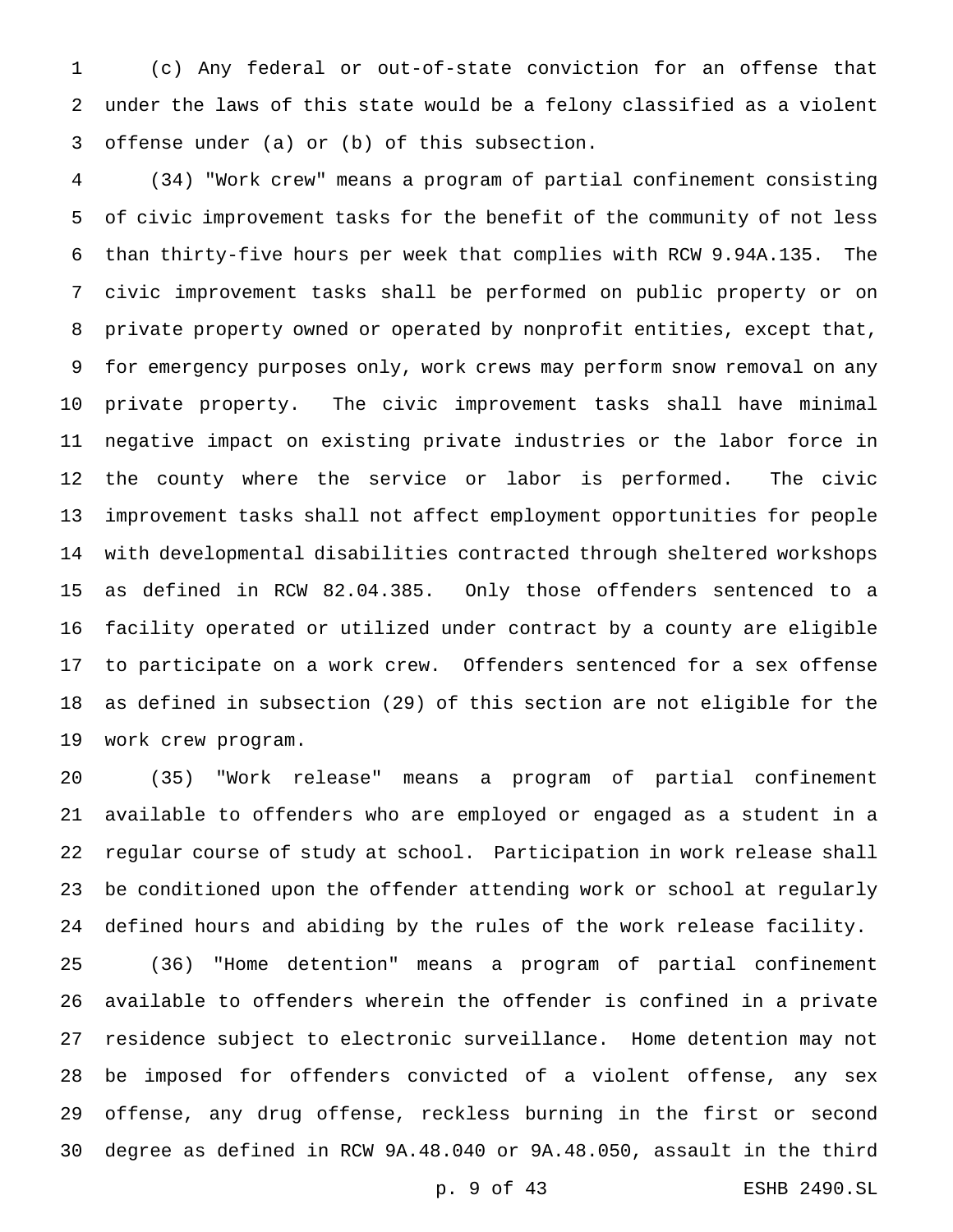(c) Any federal or out-of-state conviction for an offense that under the laws of this state would be a felony classified as a violent offense under (a) or (b) of this subsection.

 (34) "Work crew" means a program of partial confinement consisting of civic improvement tasks for the benefit of the community of not less than thirty-five hours per week that complies with RCW 9.94A.135. The civic improvement tasks shall be performed on public property or on private property owned or operated by nonprofit entities, except that, for emergency purposes only, work crews may perform snow removal on any private property. The civic improvement tasks shall have minimal negative impact on existing private industries or the labor force in the county where the service or labor is performed. The civic improvement tasks shall not affect employment opportunities for people with developmental disabilities contracted through sheltered workshops as defined in RCW 82.04.385. Only those offenders sentenced to a facility operated or utilized under contract by a county are eligible to participate on a work crew. Offenders sentenced for a sex offense as defined in subsection (29) of this section are not eligible for the work crew program.

 (35) "Work release" means a program of partial confinement available to offenders who are employed or engaged as a student in a regular course of study at school. Participation in work release shall be conditioned upon the offender attending work or school at regularly defined hours and abiding by the rules of the work release facility.

 (36) "Home detention" means a program of partial confinement available to offenders wherein the offender is confined in a private residence subject to electronic surveillance. Home detention may not be imposed for offenders convicted of a violent offense, any sex offense, any drug offense, reckless burning in the first or second degree as defined in RCW 9A.48.040 or 9A.48.050, assault in the third

p. 9 of 43 ESHB 2490.SL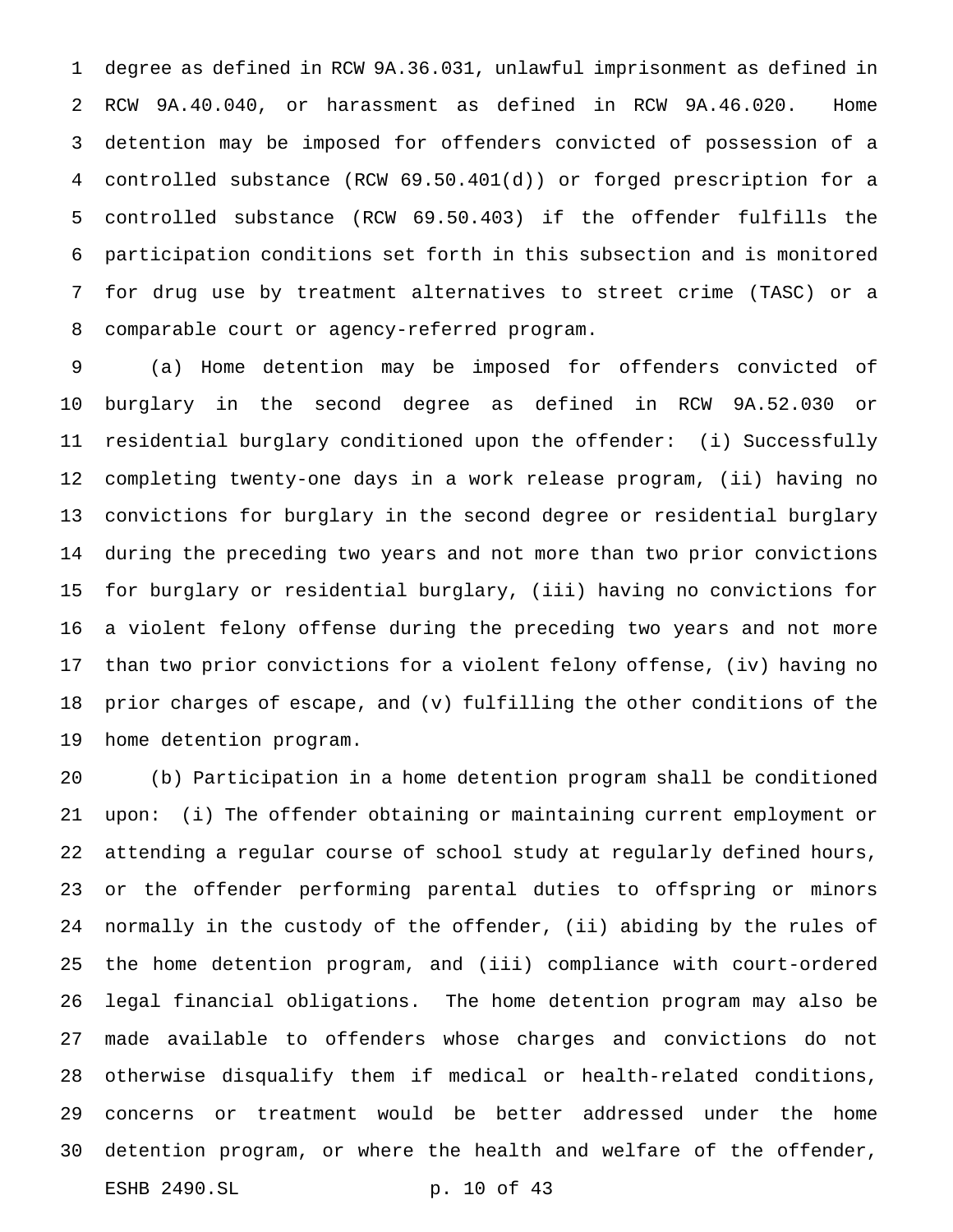degree as defined in RCW 9A.36.031, unlawful imprisonment as defined in RCW 9A.40.040, or harassment as defined in RCW 9A.46.020. Home detention may be imposed for offenders convicted of possession of a controlled substance (RCW 69.50.401(d)) or forged prescription for a controlled substance (RCW 69.50.403) if the offender fulfills the participation conditions set forth in this subsection and is monitored for drug use by treatment alternatives to street crime (TASC) or a comparable court or agency-referred program.

 (a) Home detention may be imposed for offenders convicted of burglary in the second degree as defined in RCW 9A.52.030 or residential burglary conditioned upon the offender: (i) Successfully completing twenty-one days in a work release program, (ii) having no convictions for burglary in the second degree or residential burglary during the preceding two years and not more than two prior convictions for burglary or residential burglary, (iii) having no convictions for a violent felony offense during the preceding two years and not more than two prior convictions for a violent felony offense, (iv) having no prior charges of escape, and (v) fulfilling the other conditions of the home detention program.

 (b) Participation in a home detention program shall be conditioned upon: (i) The offender obtaining or maintaining current employment or attending a regular course of school study at regularly defined hours, or the offender performing parental duties to offspring or minors normally in the custody of the offender, (ii) abiding by the rules of the home detention program, and (iii) compliance with court-ordered legal financial obligations. The home detention program may also be made available to offenders whose charges and convictions do not otherwise disqualify them if medical or health-related conditions, concerns or treatment would be better addressed under the home detention program, or where the health and welfare of the offender, ESHB 2490.SL p. 10 of 43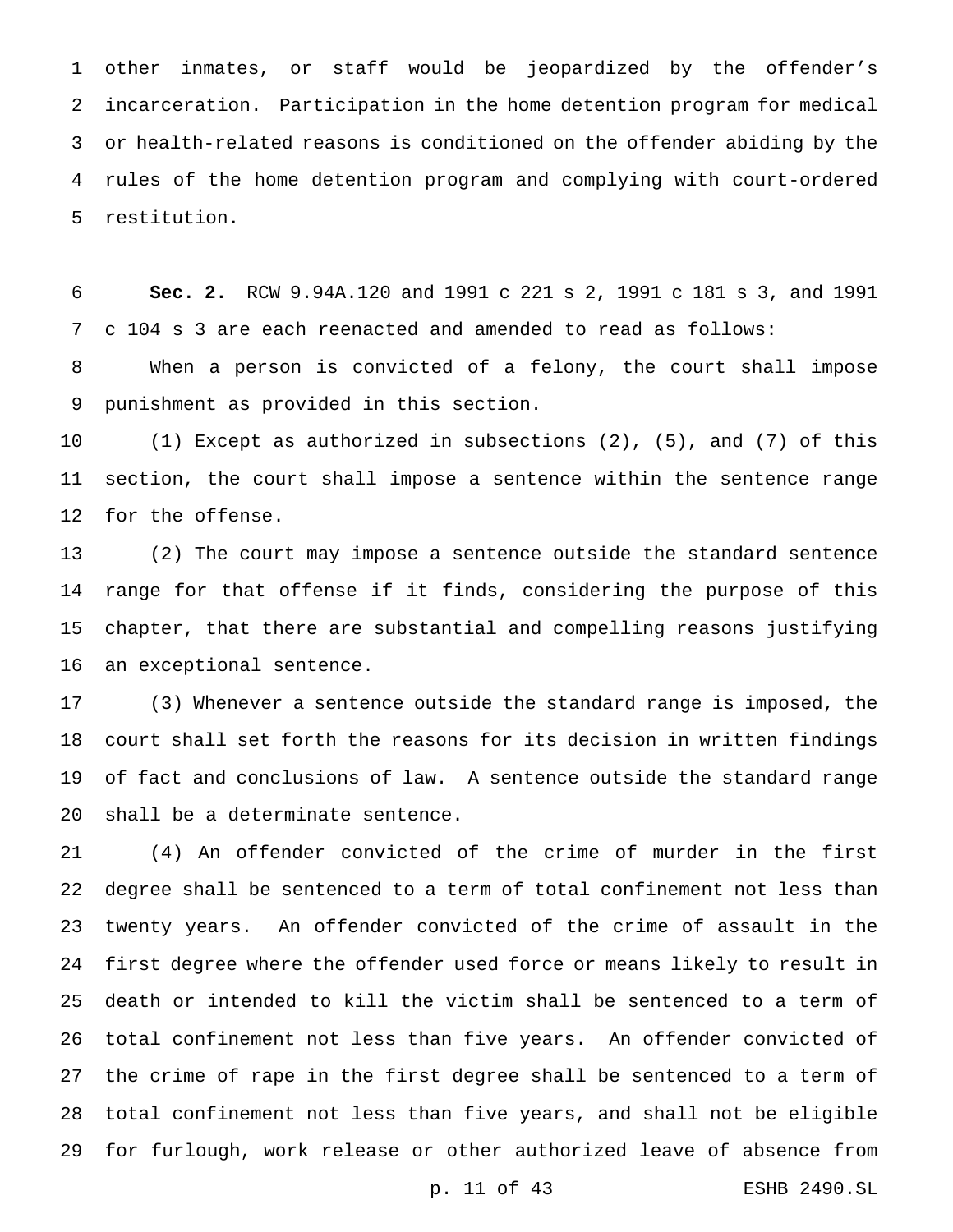other inmates, or staff would be jeopardized by the offender's incarceration. Participation in the home detention program for medical or health-related reasons is conditioned on the offender abiding by the rules of the home detention program and complying with court-ordered restitution.

 **Sec. 2.** RCW 9.94A.120 and 1991 c 221 s 2, 1991 c 181 s 3, and 1991 c 104 s 3 are each reenacted and amended to read as follows:

 When a person is convicted of a felony, the court shall impose punishment as provided in this section.

 (1) Except as authorized in subsections (2), (5), and (7) of this section, the court shall impose a sentence within the sentence range for the offense.

 (2) The court may impose a sentence outside the standard sentence range for that offense if it finds, considering the purpose of this chapter, that there are substantial and compelling reasons justifying an exceptional sentence.

 (3) Whenever a sentence outside the standard range is imposed, the court shall set forth the reasons for its decision in written findings of fact and conclusions of law. A sentence outside the standard range shall be a determinate sentence.

 (4) An offender convicted of the crime of murder in the first degree shall be sentenced to a term of total confinement not less than twenty years. An offender convicted of the crime of assault in the first degree where the offender used force or means likely to result in death or intended to kill the victim shall be sentenced to a term of total confinement not less than five years. An offender convicted of the crime of rape in the first degree shall be sentenced to a term of total confinement not less than five years, and shall not be eligible for furlough, work release or other authorized leave of absence from

p. 11 of 43 ESHB 2490.SL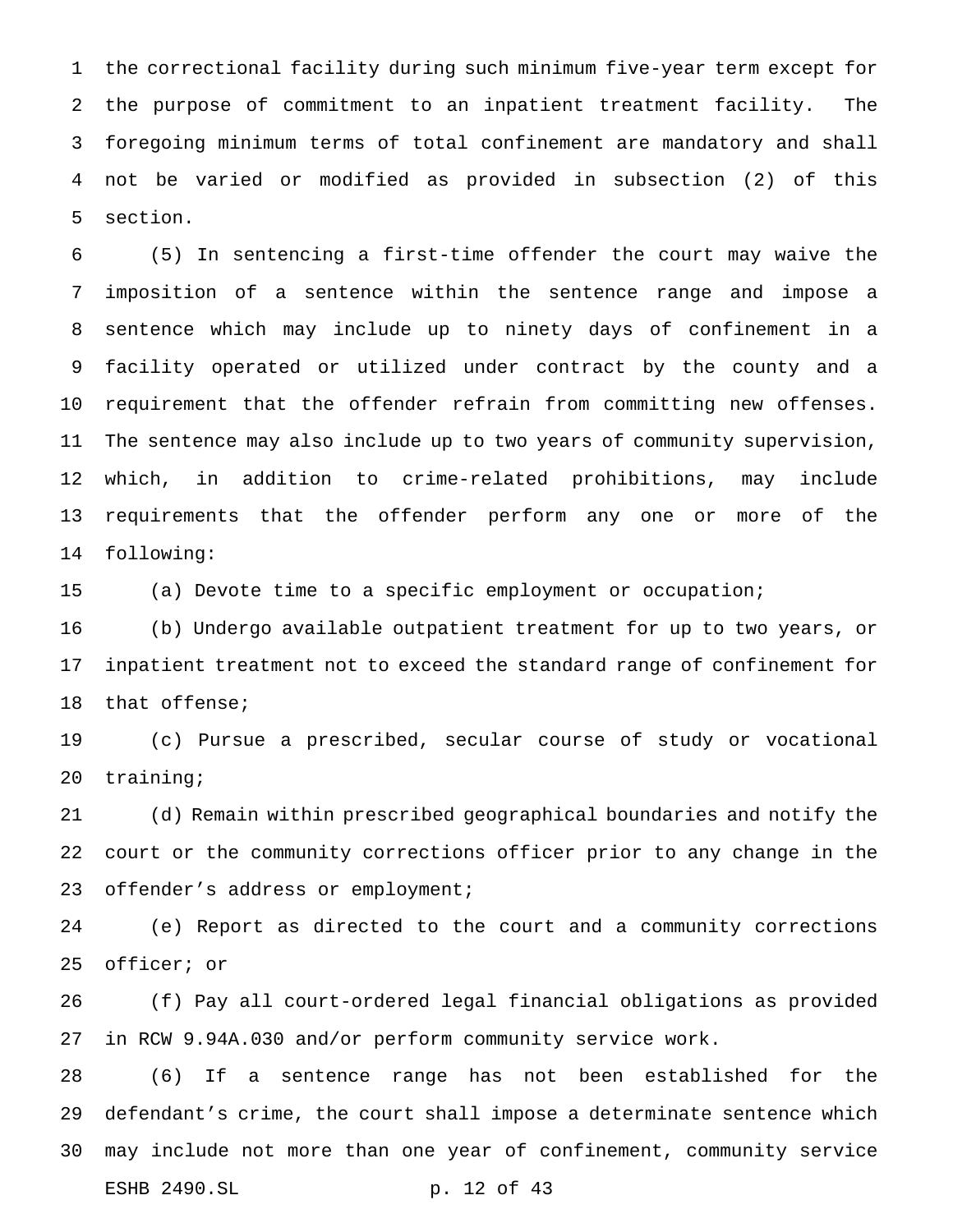the correctional facility during such minimum five-year term except for the purpose of commitment to an inpatient treatment facility. The foregoing minimum terms of total confinement are mandatory and shall not be varied or modified as provided in subsection (2) of this section.

 (5) In sentencing a first-time offender the court may waive the imposition of a sentence within the sentence range and impose a sentence which may include up to ninety days of confinement in a facility operated or utilized under contract by the county and a requirement that the offender refrain from committing new offenses. The sentence may also include up to two years of community supervision, which, in addition to crime-related prohibitions, may include requirements that the offender perform any one or more of the following:

(a) Devote time to a specific employment or occupation;

 (b) Undergo available outpatient treatment for up to two years, or inpatient treatment not to exceed the standard range of confinement for that offense;

 (c) Pursue a prescribed, secular course of study or vocational training;

 (d) Remain within prescribed geographical boundaries and notify the court or the community corrections officer prior to any change in the 23 offender's address or employment;

 (e) Report as directed to the court and a community corrections officer; or

 (f) Pay all court-ordered legal financial obligations as provided in RCW 9.94A.030 and/or perform community service work.

 (6) If a sentence range has not been established for the defendant's crime, the court shall impose a determinate sentence which may include not more than one year of confinement, community service ESHB 2490.SL p. 12 of 43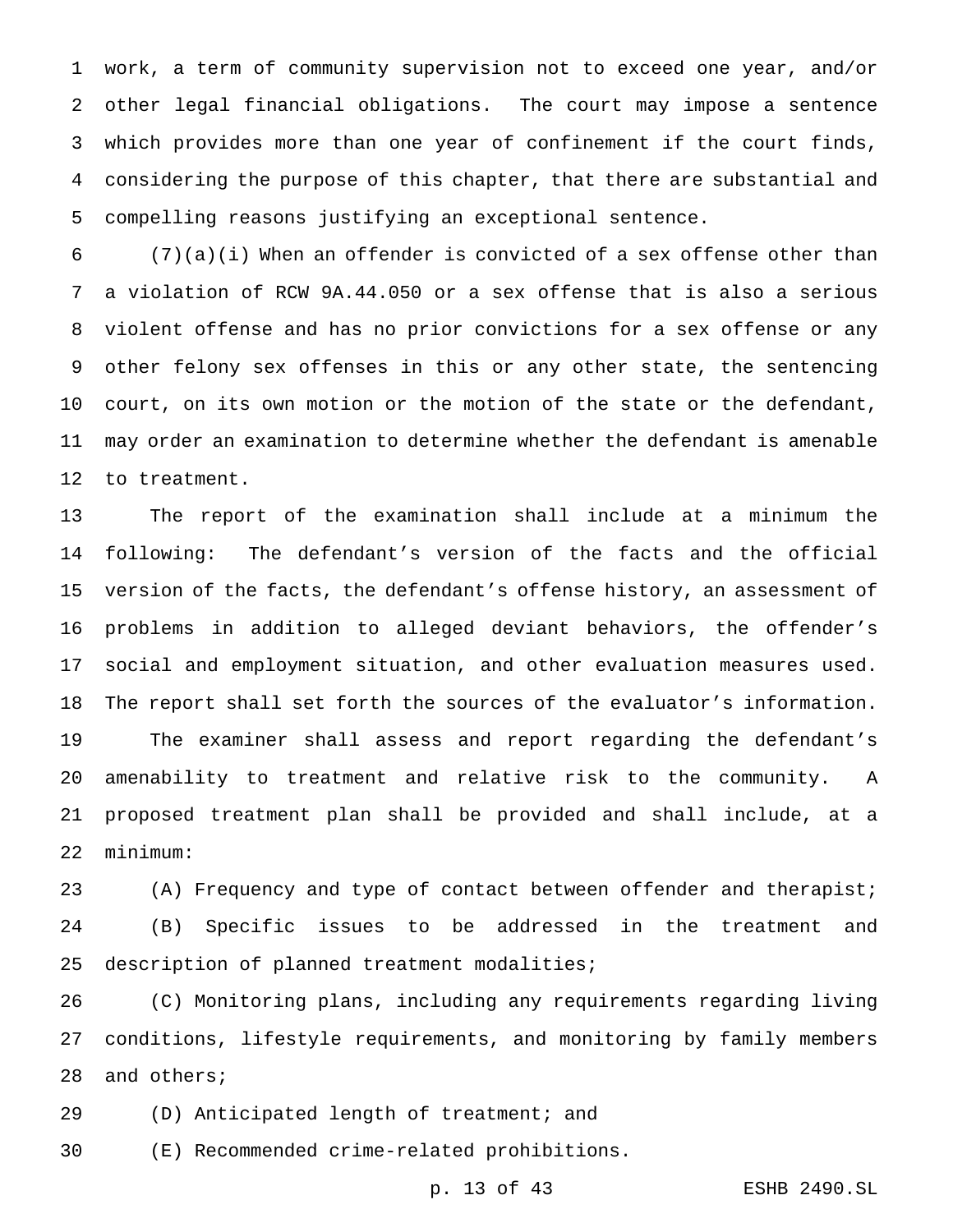work, a term of community supervision not to exceed one year, and/or other legal financial obligations. The court may impose a sentence which provides more than one year of confinement if the court finds, considering the purpose of this chapter, that there are substantial and compelling reasons justifying an exceptional sentence.

 (7)(a)(i) When an offender is convicted of a sex offense other than a violation of RCW 9A.44.050 or a sex offense that is also a serious violent offense and has no prior convictions for a sex offense or any other felony sex offenses in this or any other state, the sentencing court, on its own motion or the motion of the state or the defendant, may order an examination to determine whether the defendant is amenable to treatment.

 The report of the examination shall include at a minimum the following: The defendant's version of the facts and the official version of the facts, the defendant's offense history, an assessment of problems in addition to alleged deviant behaviors, the offender's social and employment situation, and other evaluation measures used. The report shall set forth the sources of the evaluator's information. The examiner shall assess and report regarding the defendant's amenability to treatment and relative risk to the community. A proposed treatment plan shall be provided and shall include, at a minimum:

 (A) Frequency and type of contact between offender and therapist; (B) Specific issues to be addressed in the treatment and description of planned treatment modalities;

 (C) Monitoring plans, including any requirements regarding living conditions, lifestyle requirements, and monitoring by family members and others;

(D) Anticipated length of treatment; and

(E) Recommended crime-related prohibitions.

p. 13 of 43 ESHB 2490.SL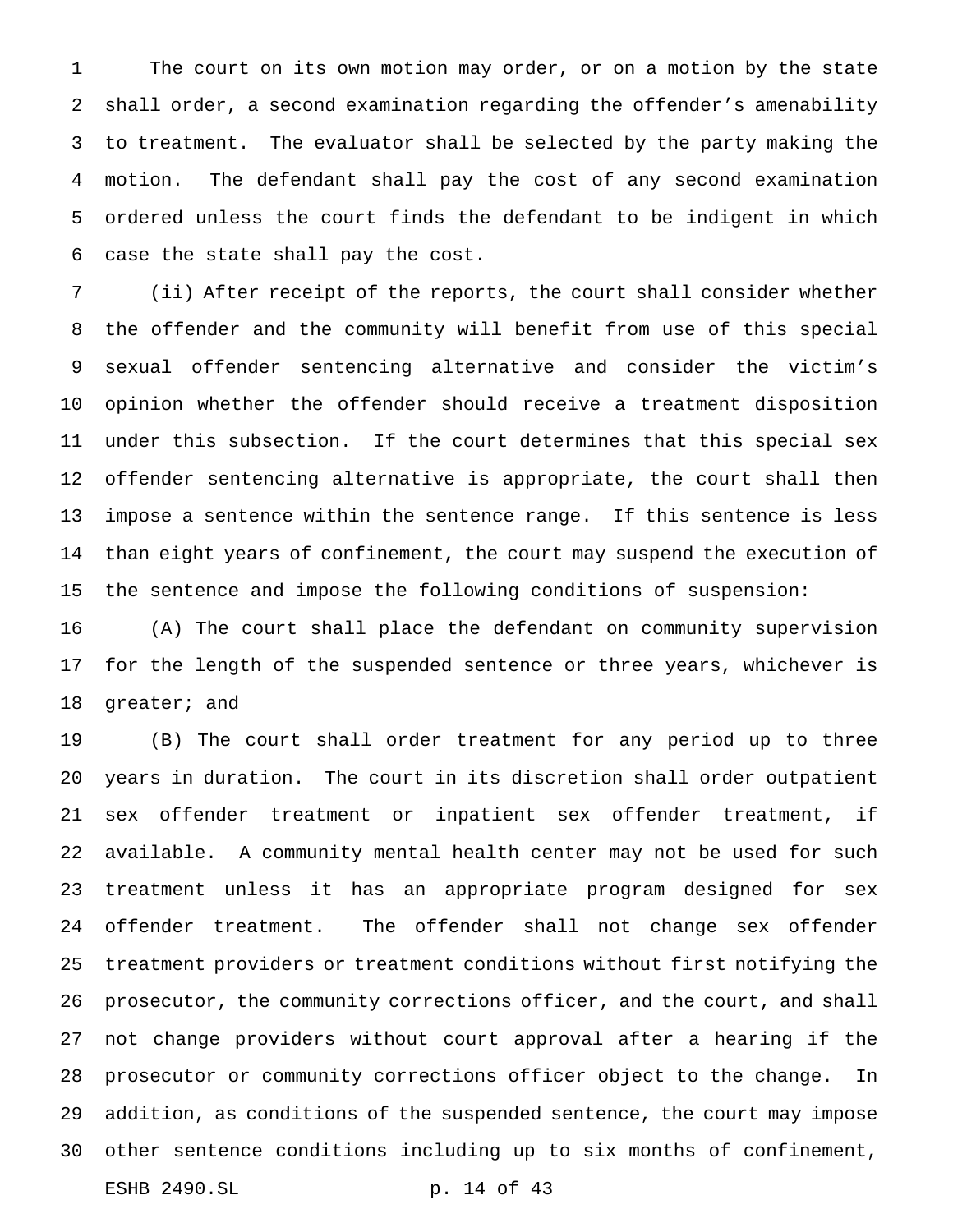The court on its own motion may order, or on a motion by the state shall order, a second examination regarding the offender's amenability to treatment. The evaluator shall be selected by the party making the motion. The defendant shall pay the cost of any second examination ordered unless the court finds the defendant to be indigent in which case the state shall pay the cost.

 (ii) After receipt of the reports, the court shall consider whether the offender and the community will benefit from use of this special sexual offender sentencing alternative and consider the victim's opinion whether the offender should receive a treatment disposition under this subsection. If the court determines that this special sex offender sentencing alternative is appropriate, the court shall then impose a sentence within the sentence range. If this sentence is less than eight years of confinement, the court may suspend the execution of the sentence and impose the following conditions of suspension:

 (A) The court shall place the defendant on community supervision for the length of the suspended sentence or three years, whichever is greater; and

 (B) The court shall order treatment for any period up to three years in duration. The court in its discretion shall order outpatient sex offender treatment or inpatient sex offender treatment, if available. A community mental health center may not be used for such treatment unless it has an appropriate program designed for sex offender treatment. The offender shall not change sex offender treatment providers or treatment conditions without first notifying the prosecutor, the community corrections officer, and the court, and shall not change providers without court approval after a hearing if the prosecutor or community corrections officer object to the change. In addition, as conditions of the suspended sentence, the court may impose other sentence conditions including up to six months of confinement, ESHB 2490.SL p. 14 of 43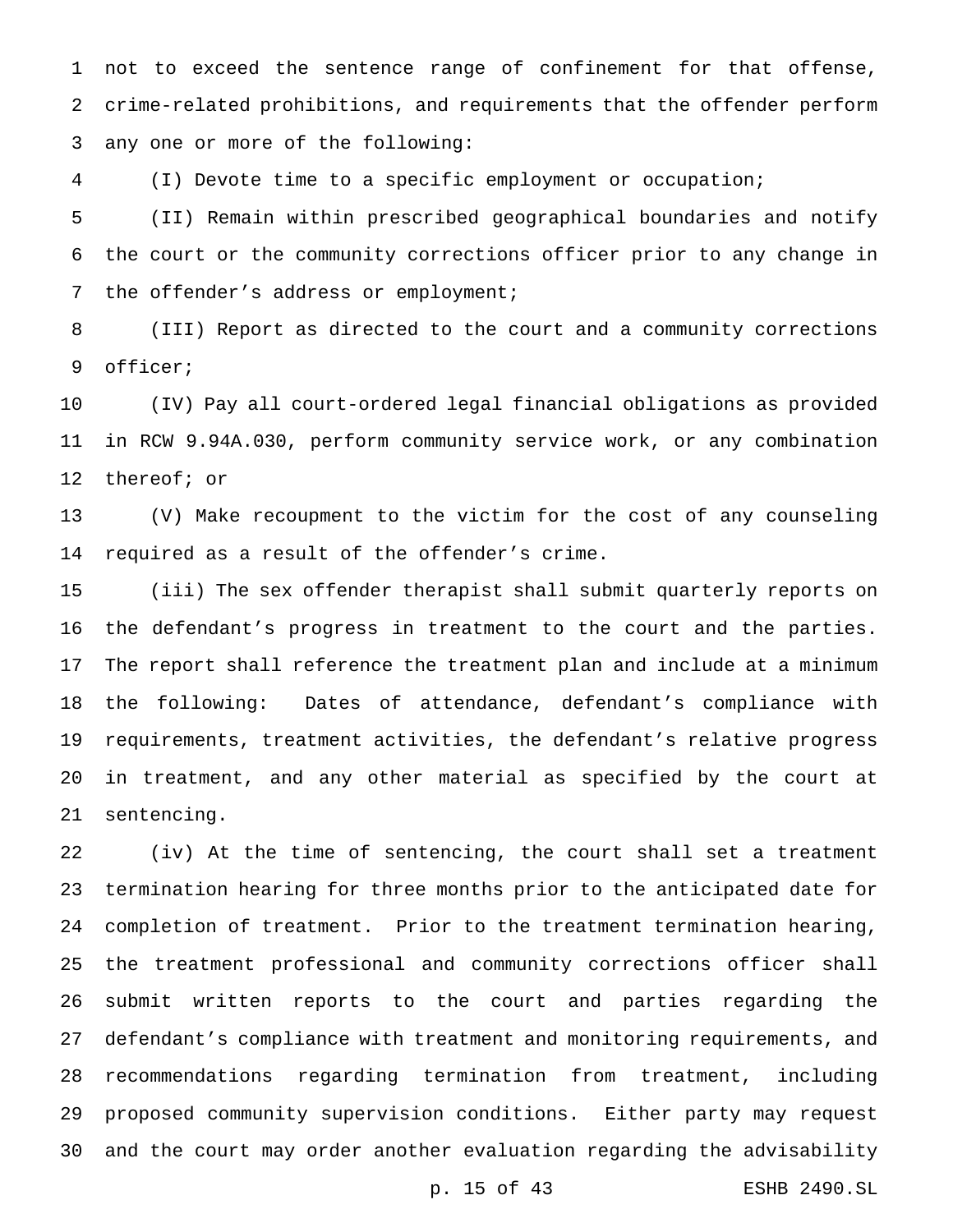not to exceed the sentence range of confinement for that offense, crime-related prohibitions, and requirements that the offender perform any one or more of the following:

(I) Devote time to a specific employment or occupation;

 (II) Remain within prescribed geographical boundaries and notify the court or the community corrections officer prior to any change in 7 the offender's address or employment;

 (III) Report as directed to the court and a community corrections officer;

 (IV) Pay all court-ordered legal financial obligations as provided in RCW 9.94A.030, perform community service work, or any combination thereof; or

 (V) Make recoupment to the victim for the cost of any counseling required as a result of the offender's crime.

 (iii) The sex offender therapist shall submit quarterly reports on the defendant's progress in treatment to the court and the parties. The report shall reference the treatment plan and include at a minimum the following: Dates of attendance, defendant's compliance with requirements, treatment activities, the defendant's relative progress in treatment, and any other material as specified by the court at sentencing.

 (iv) At the time of sentencing, the court shall set a treatment termination hearing for three months prior to the anticipated date for completion of treatment. Prior to the treatment termination hearing, the treatment professional and community corrections officer shall submit written reports to the court and parties regarding the defendant's compliance with treatment and monitoring requirements, and recommendations regarding termination from treatment, including proposed community supervision conditions. Either party may request and the court may order another evaluation regarding the advisability

p. 15 of 43 ESHB 2490.SL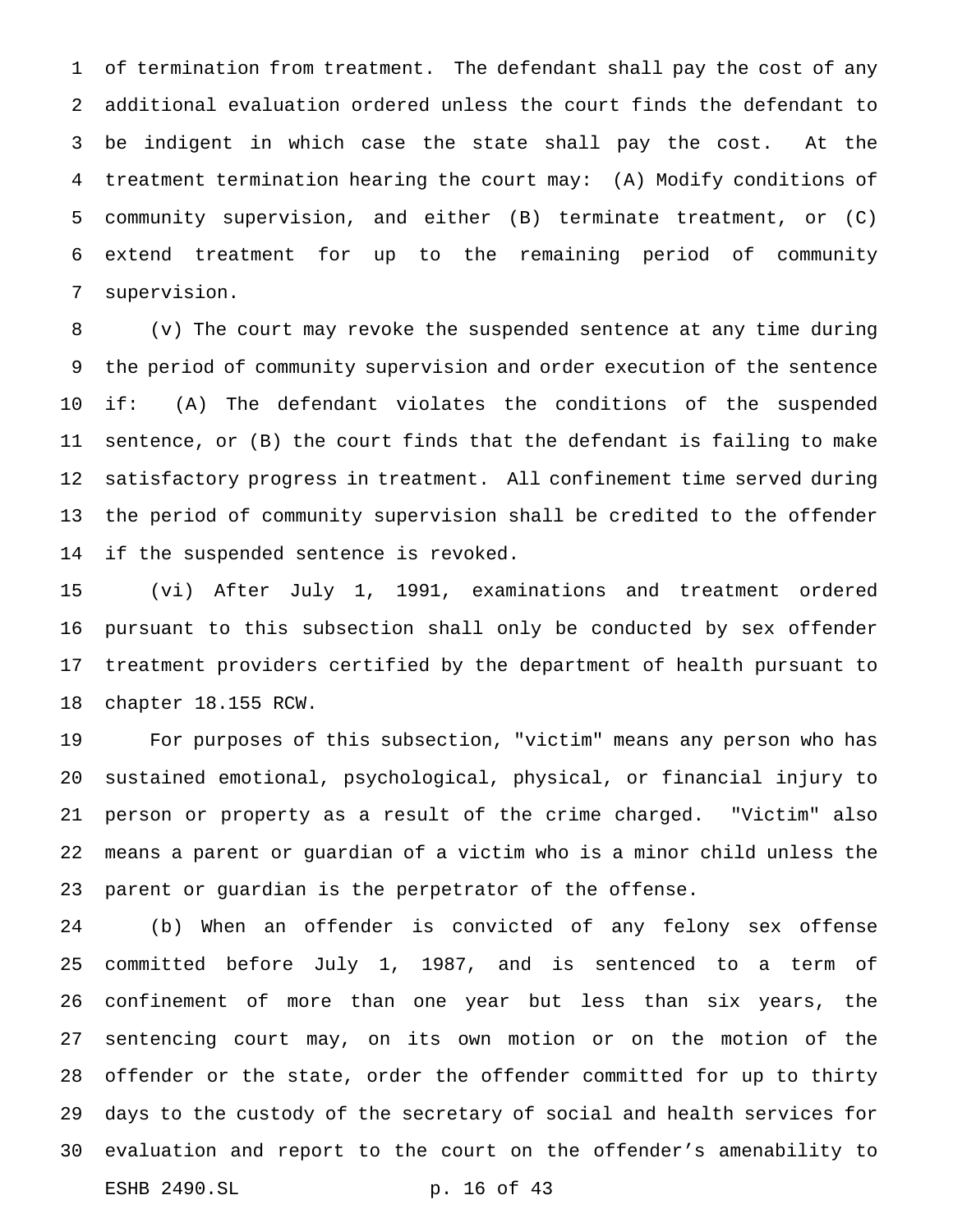of termination from treatment. The defendant shall pay the cost of any additional evaluation ordered unless the court finds the defendant to be indigent in which case the state shall pay the cost. At the treatment termination hearing the court may: (A) Modify conditions of community supervision, and either (B) terminate treatment, or (C) extend treatment for up to the remaining period of community supervision.

 (v) The court may revoke the suspended sentence at any time during the period of community supervision and order execution of the sentence if: (A) The defendant violates the conditions of the suspended sentence, or (B) the court finds that the defendant is failing to make satisfactory progress in treatment. All confinement time served during the period of community supervision shall be credited to the offender if the suspended sentence is revoked.

 (vi) After July 1, 1991, examinations and treatment ordered pursuant to this subsection shall only be conducted by sex offender treatment providers certified by the department of health pursuant to chapter 18.155 RCW.

 For purposes of this subsection, "victim" means any person who has sustained emotional, psychological, physical, or financial injury to person or property as a result of the crime charged. "Victim" also means a parent or guardian of a victim who is a minor child unless the parent or guardian is the perpetrator of the offense.

 (b) When an offender is convicted of any felony sex offense committed before July 1, 1987, and is sentenced to a term of confinement of more than one year but less than six years, the sentencing court may, on its own motion or on the motion of the offender or the state, order the offender committed for up to thirty days to the custody of the secretary of social and health services for evaluation and report to the court on the offender's amenability to ESHB 2490.SL p. 16 of 43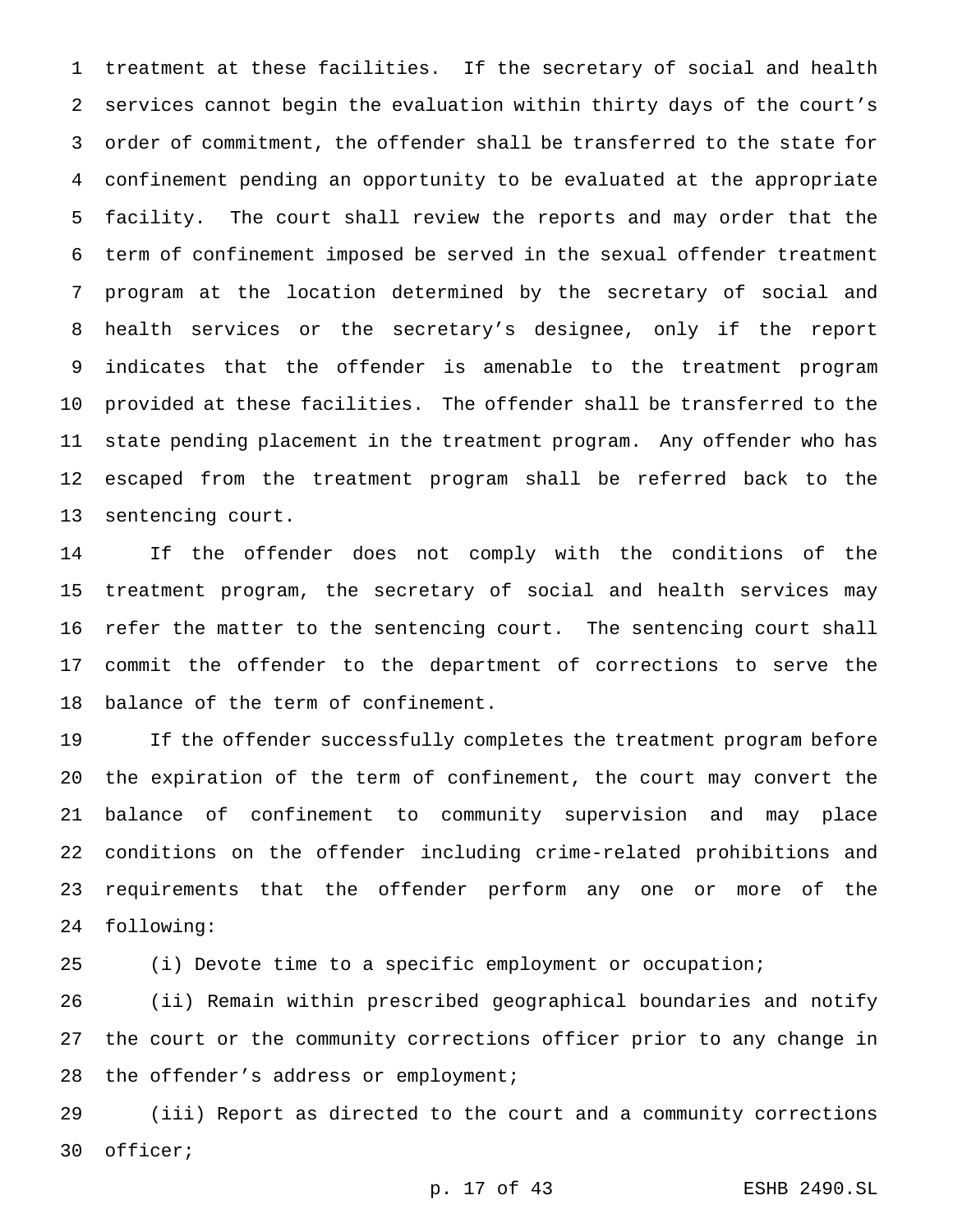treatment at these facilities. If the secretary of social and health services cannot begin the evaluation within thirty days of the court's order of commitment, the offender shall be transferred to the state for confinement pending an opportunity to be evaluated at the appropriate facility. The court shall review the reports and may order that the term of confinement imposed be served in the sexual offender treatment program at the location determined by the secretary of social and health services or the secretary's designee, only if the report indicates that the offender is amenable to the treatment program provided at these facilities. The offender shall be transferred to the state pending placement in the treatment program. Any offender who has escaped from the treatment program shall be referred back to the sentencing court.

 If the offender does not comply with the conditions of the treatment program, the secretary of social and health services may refer the matter to the sentencing court. The sentencing court shall commit the offender to the department of corrections to serve the balance of the term of confinement.

 If the offender successfully completes the treatment program before the expiration of the term of confinement, the court may convert the balance of confinement to community supervision and may place conditions on the offender including crime-related prohibitions and requirements that the offender perform any one or more of the following:

(i) Devote time to a specific employment or occupation;

 (ii) Remain within prescribed geographical boundaries and notify the court or the community corrections officer prior to any change in 28 the offender's address or employment;

 (iii) Report as directed to the court and a community corrections officer;

p. 17 of 43 ESHB 2490.SL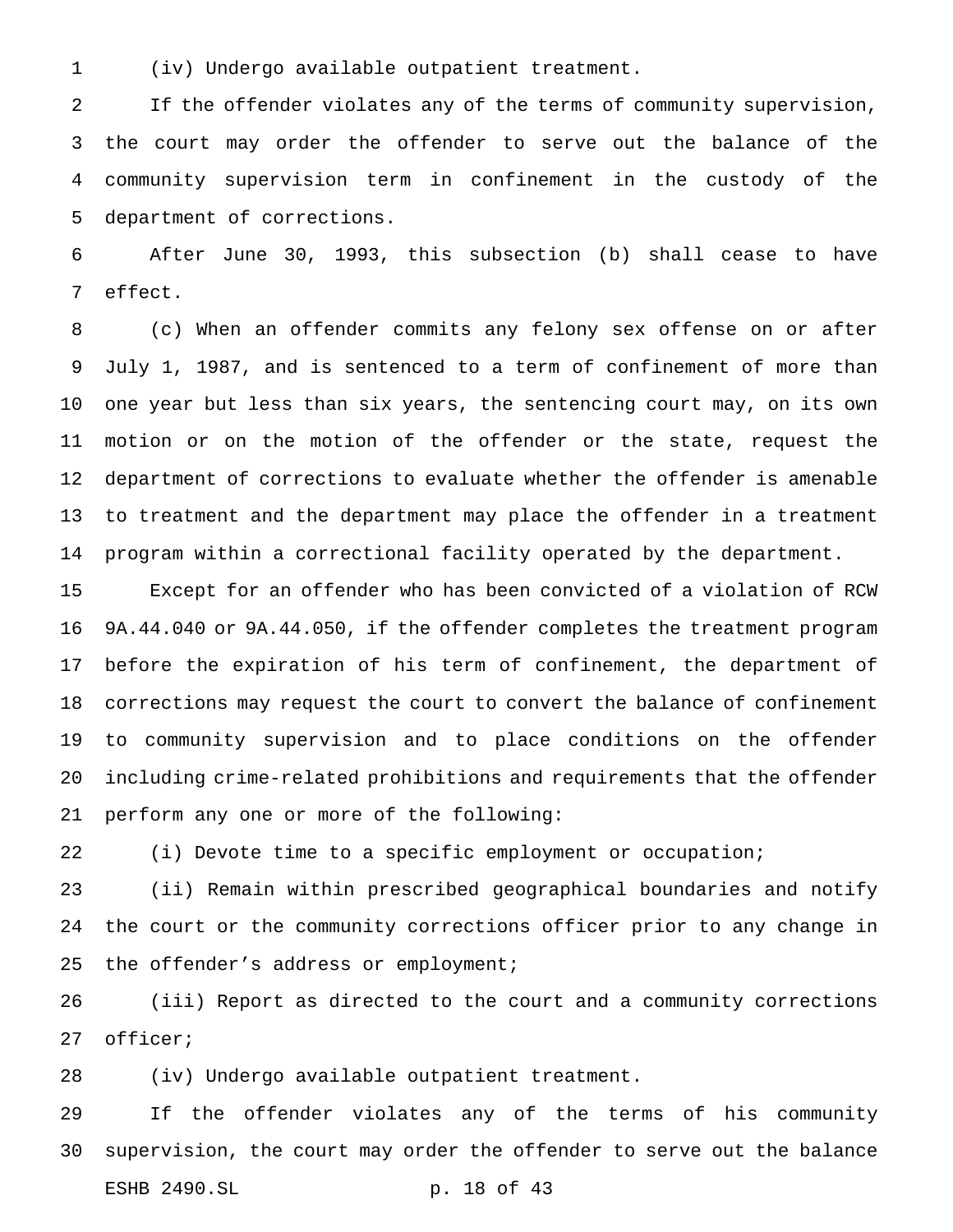(iv) Undergo available outpatient treatment.

 If the offender violates any of the terms of community supervision, the court may order the offender to serve out the balance of the community supervision term in confinement in the custody of the department of corrections.

 After June 30, 1993, this subsection (b) shall cease to have effect.

 (c) When an offender commits any felony sex offense on or after July 1, 1987, and is sentenced to a term of confinement of more than one year but less than six years, the sentencing court may, on its own motion or on the motion of the offender or the state, request the department of corrections to evaluate whether the offender is amenable to treatment and the department may place the offender in a treatment program within a correctional facility operated by the department.

 Except for an offender who has been convicted of a violation of RCW 9A.44.040 or 9A.44.050, if the offender completes the treatment program before the expiration of his term of confinement, the department of corrections may request the court to convert the balance of confinement to community supervision and to place conditions on the offender including crime-related prohibitions and requirements that the offender perform any one or more of the following:

(i) Devote time to a specific employment or occupation;

 (ii) Remain within prescribed geographical boundaries and notify the court or the community corrections officer prior to any change in 25 the offender's address or employment;

 (iii) Report as directed to the court and a community corrections officer;

(iv) Undergo available outpatient treatment.

 If the offender violates any of the terms of his community supervision, the court may order the offender to serve out the balance ESHB 2490.SL p. 18 of 43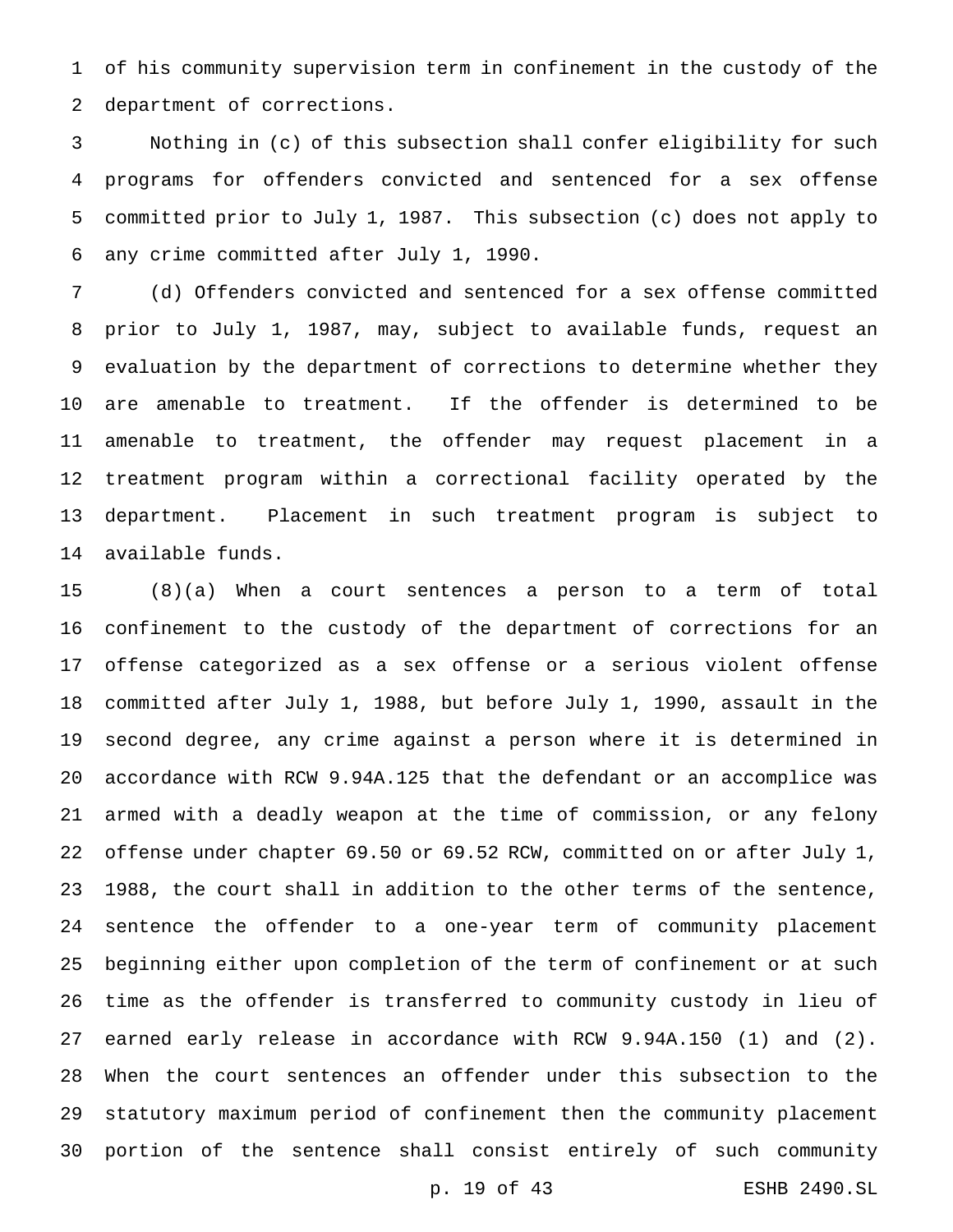of his community supervision term in confinement in the custody of the department of corrections.

 Nothing in (c) of this subsection shall confer eligibility for such programs for offenders convicted and sentenced for a sex offense committed prior to July 1, 1987. This subsection (c) does not apply to any crime committed after July 1, 1990.

 (d) Offenders convicted and sentenced for a sex offense committed prior to July 1, 1987, may, subject to available funds, request an evaluation by the department of corrections to determine whether they are amenable to treatment. If the offender is determined to be amenable to treatment, the offender may request placement in a treatment program within a correctional facility operated by the department. Placement in such treatment program is subject to available funds.

 (8)(a) When a court sentences a person to a term of total confinement to the custody of the department of corrections for an offense categorized as a sex offense or a serious violent offense committed after July 1, 1988, but before July 1, 1990, assault in the second degree, any crime against a person where it is determined in accordance with RCW 9.94A.125 that the defendant or an accomplice was armed with a deadly weapon at the time of commission, or any felony offense under chapter 69.50 or 69.52 RCW, committed on or after July 1, 1988, the court shall in addition to the other terms of the sentence, sentence the offender to a one-year term of community placement beginning either upon completion of the term of confinement or at such time as the offender is transferred to community custody in lieu of earned early release in accordance with RCW 9.94A.150 (1) and (2). When the court sentences an offender under this subsection to the statutory maximum period of confinement then the community placement portion of the sentence shall consist entirely of such community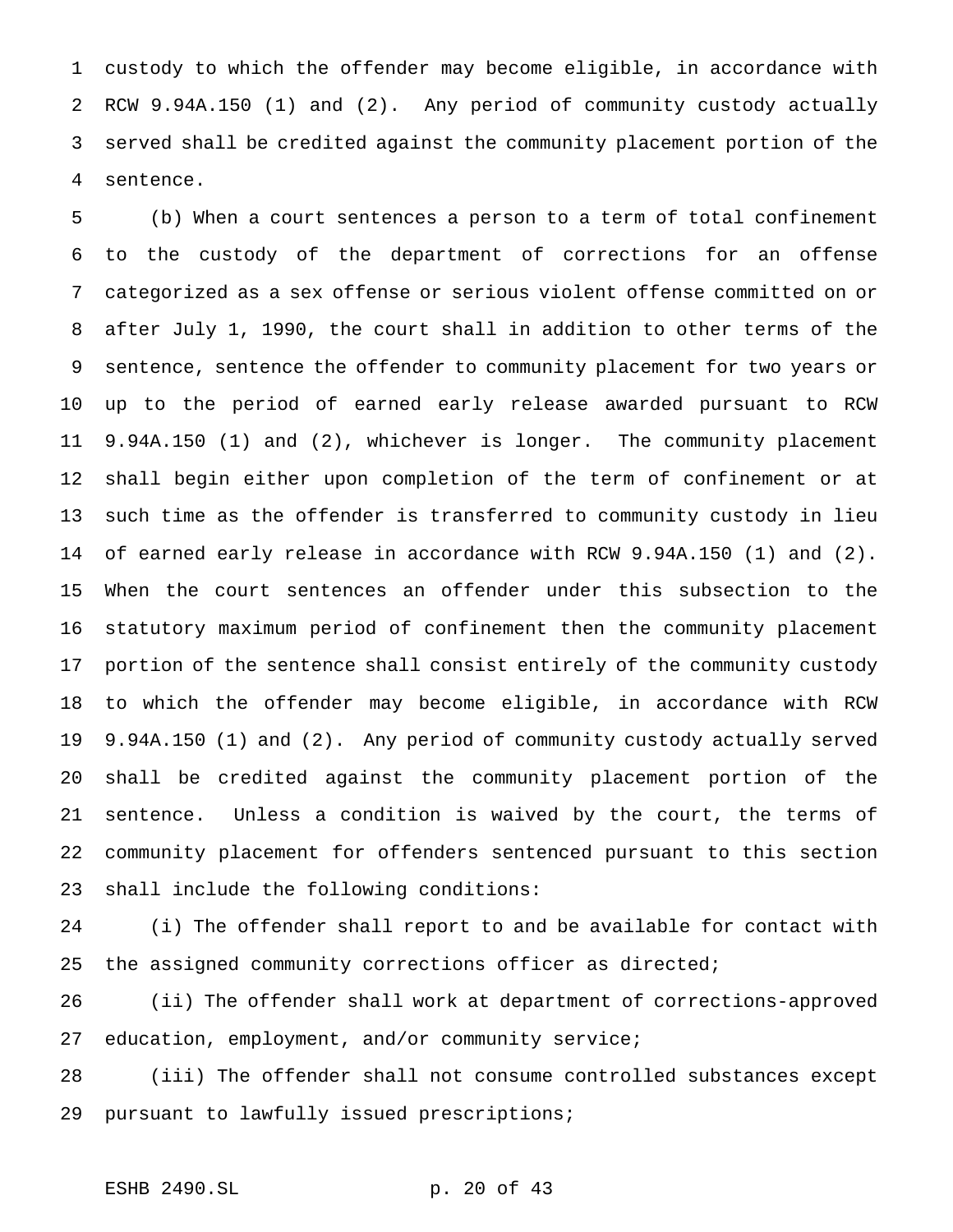custody to which the offender may become eligible, in accordance with RCW 9.94A.150 (1) and (2). Any period of community custody actually served shall be credited against the community placement portion of the sentence.

 (b) When a court sentences a person to a term of total confinement to the custody of the department of corrections for an offense categorized as a sex offense or serious violent offense committed on or after July 1, 1990, the court shall in addition to other terms of the sentence, sentence the offender to community placement for two years or up to the period of earned early release awarded pursuant to RCW 9.94A.150 (1) and (2), whichever is longer. The community placement shall begin either upon completion of the term of confinement or at such time as the offender is transferred to community custody in lieu of earned early release in accordance with RCW 9.94A.150 (1) and (2). When the court sentences an offender under this subsection to the statutory maximum period of confinement then the community placement portion of the sentence shall consist entirely of the community custody to which the offender may become eligible, in accordance with RCW 9.94A.150 (1) and (2). Any period of community custody actually served shall be credited against the community placement portion of the sentence. Unless a condition is waived by the court, the terms of community placement for offenders sentenced pursuant to this section shall include the following conditions:

 (i) The offender shall report to and be available for contact with the assigned community corrections officer as directed;

 (ii) The offender shall work at department of corrections-approved education, employment, and/or community service;

 (iii) The offender shall not consume controlled substances except pursuant to lawfully issued prescriptions;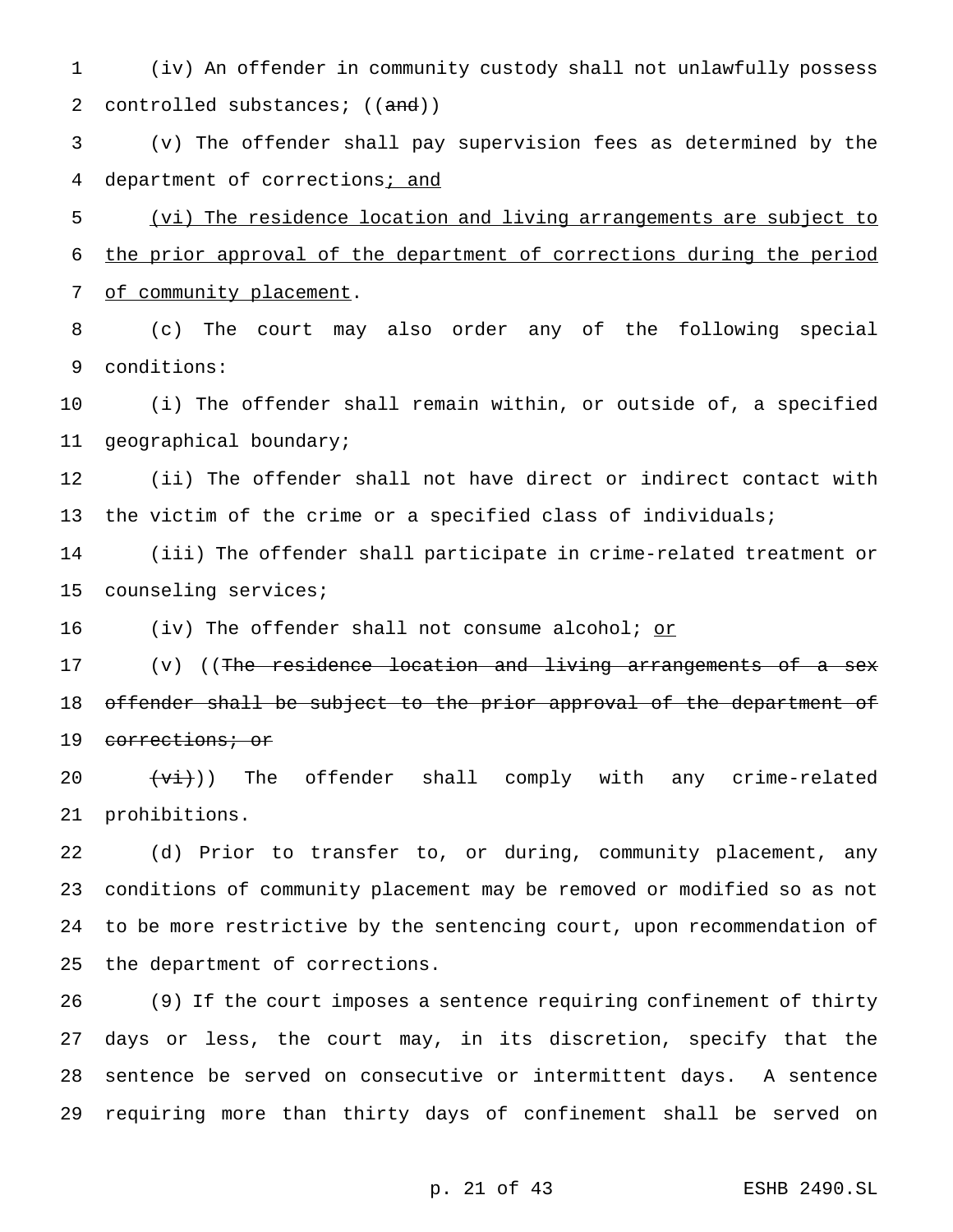(iv) An offender in community custody shall not unlawfully possess 2 controlled substances; ((and))

 (v) The offender shall pay supervision fees as determined by the 4 department of corrections; and

 (vi) The residence location and living arrangements are subject to the prior approval of the department of corrections during the period 7 of community placement.

 (c) The court may also order any of the following special conditions:

 (i) The offender shall remain within, or outside of, a specified geographical boundary;

 (ii) The offender shall not have direct or indirect contact with 13 the victim of the crime or a specified class of individuals;

 (iii) The offender shall participate in crime-related treatment or counseling services;

16 (iv) The offender shall not consume alcohol; or

17 (v) ((The residence location and living arrangements of a sex 18 offender shall be subject to the prior approval of the department of 19 corrections; or

 $(vi)$ ) The offender shall comply with any crime-related prohibitions.

 (d) Prior to transfer to, or during, community placement, any conditions of community placement may be removed or modified so as not to be more restrictive by the sentencing court, upon recommendation of the department of corrections.

 (9) If the court imposes a sentence requiring confinement of thirty days or less, the court may, in its discretion, specify that the sentence be served on consecutive or intermittent days. A sentence requiring more than thirty days of confinement shall be served on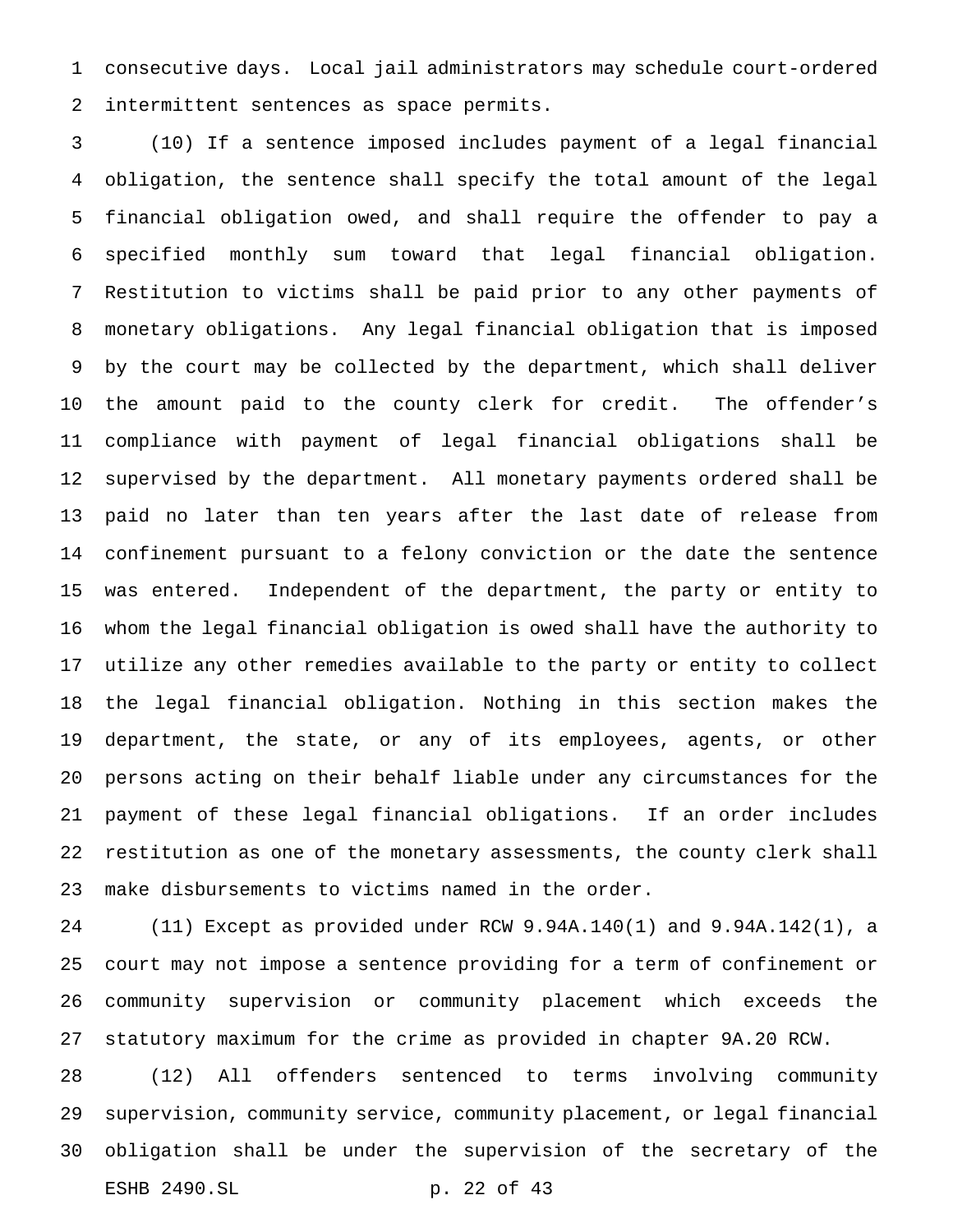consecutive days. Local jail administrators may schedule court-ordered intermittent sentences as space permits.

 (10) If a sentence imposed includes payment of a legal financial obligation, the sentence shall specify the total amount of the legal financial obligation owed, and shall require the offender to pay a specified monthly sum toward that legal financial obligation. Restitution to victims shall be paid prior to any other payments of monetary obligations. Any legal financial obligation that is imposed by the court may be collected by the department, which shall deliver the amount paid to the county clerk for credit. The offender's compliance with payment of legal financial obligations shall be supervised by the department. All monetary payments ordered shall be paid no later than ten years after the last date of release from confinement pursuant to a felony conviction or the date the sentence was entered. Independent of the department, the party or entity to whom the legal financial obligation is owed shall have the authority to utilize any other remedies available to the party or entity to collect the legal financial obligation. Nothing in this section makes the department, the state, or any of its employees, agents, or other persons acting on their behalf liable under any circumstances for the payment of these legal financial obligations. If an order includes restitution as one of the monetary assessments, the county clerk shall make disbursements to victims named in the order.

 (11) Except as provided under RCW 9.94A.140(1) and 9.94A.142(1), a court may not impose a sentence providing for a term of confinement or community supervision or community placement which exceeds the statutory maximum for the crime as provided in chapter 9A.20 RCW.

 (12) All offenders sentenced to terms involving community supervision, community service, community placement, or legal financial obligation shall be under the supervision of the secretary of the ESHB 2490.SL p. 22 of 43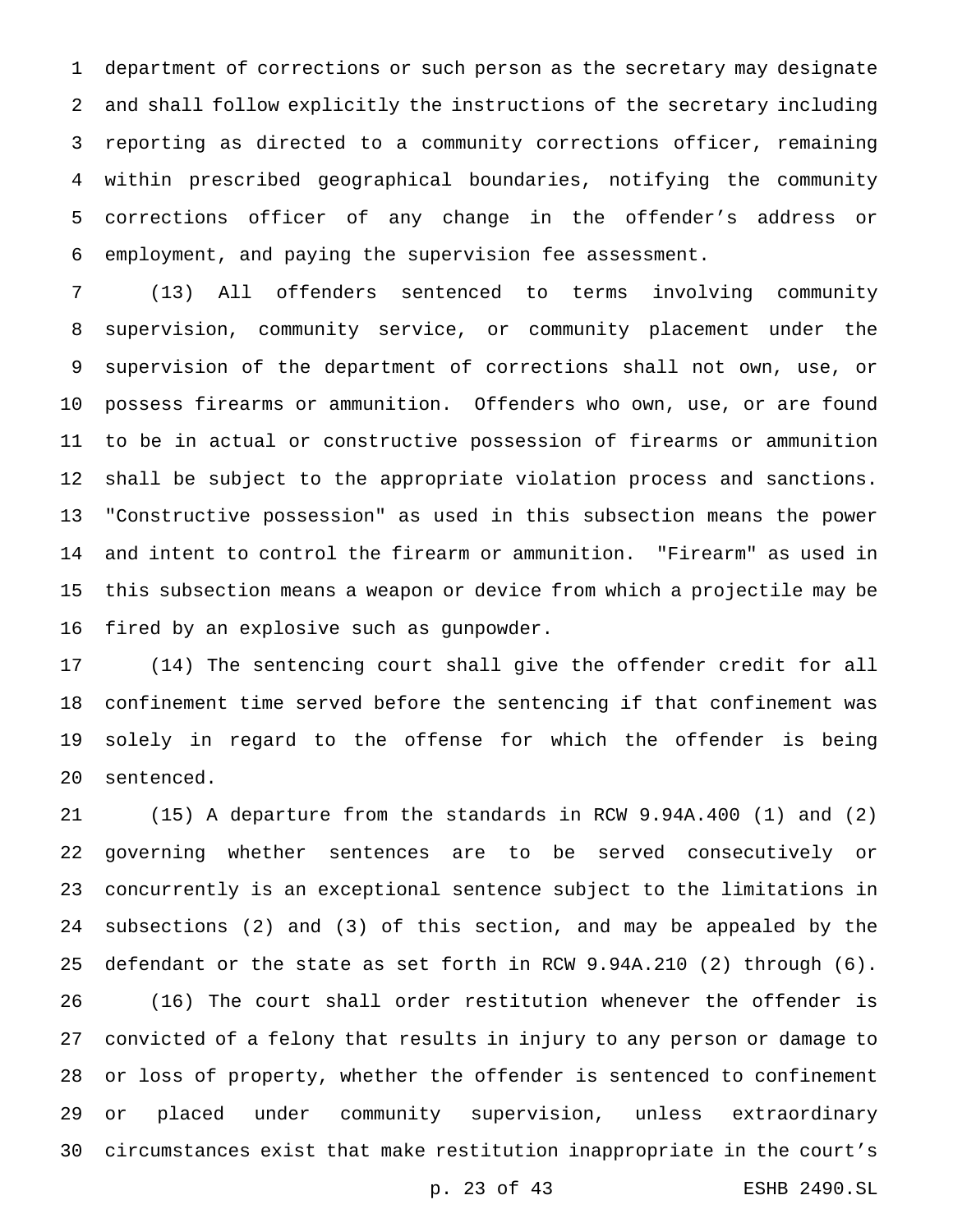department of corrections or such person as the secretary may designate and shall follow explicitly the instructions of the secretary including reporting as directed to a community corrections officer, remaining within prescribed geographical boundaries, notifying the community corrections officer of any change in the offender's address or employment, and paying the supervision fee assessment.

 (13) All offenders sentenced to terms involving community supervision, community service, or community placement under the supervision of the department of corrections shall not own, use, or possess firearms or ammunition. Offenders who own, use, or are found to be in actual or constructive possession of firearms or ammunition shall be subject to the appropriate violation process and sanctions. "Constructive possession" as used in this subsection means the power and intent to control the firearm or ammunition. "Firearm" as used in this subsection means a weapon or device from which a projectile may be fired by an explosive such as gunpowder.

 (14) The sentencing court shall give the offender credit for all confinement time served before the sentencing if that confinement was solely in regard to the offense for which the offender is being sentenced.

 (15) A departure from the standards in RCW 9.94A.400 (1) and (2) governing whether sentences are to be served consecutively or concurrently is an exceptional sentence subject to the limitations in subsections (2) and (3) of this section, and may be appealed by the defendant or the state as set forth in RCW 9.94A.210 (2) through (6). (16) The court shall order restitution whenever the offender is convicted of a felony that results in injury to any person or damage to or loss of property, whether the offender is sentenced to confinement or placed under community supervision, unless extraordinary circumstances exist that make restitution inappropriate in the court's

p. 23 of 43 ESHB 2490.SL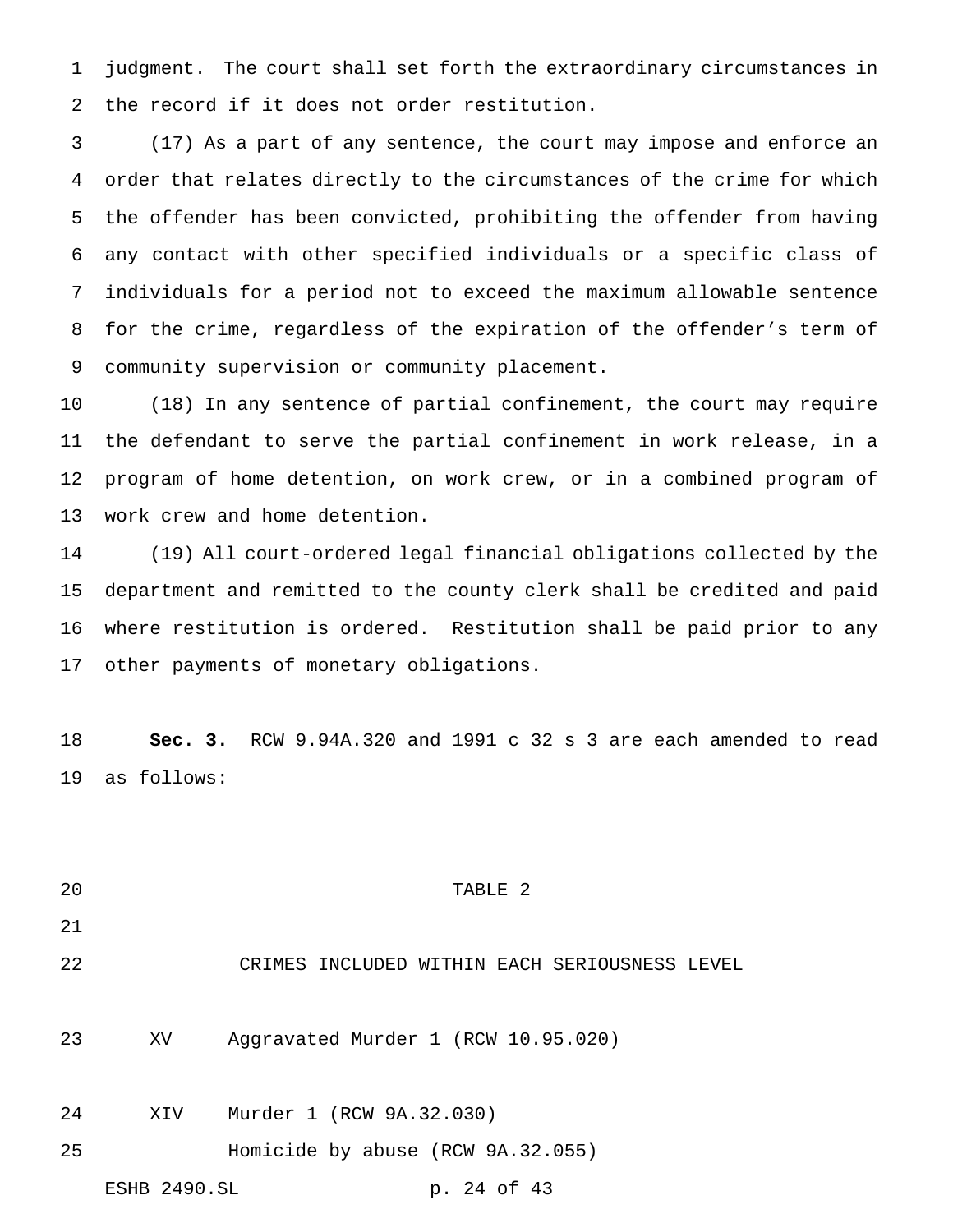judgment. The court shall set forth the extraordinary circumstances in the record if it does not order restitution.

 (17) As a part of any sentence, the court may impose and enforce an order that relates directly to the circumstances of the crime for which the offender has been convicted, prohibiting the offender from having any contact with other specified individuals or a specific class of individuals for a period not to exceed the maximum allowable sentence for the crime, regardless of the expiration of the offender's term of community supervision or community placement.

 (18) In any sentence of partial confinement, the court may require the defendant to serve the partial confinement in work release, in a program of home detention, on work crew, or in a combined program of work crew and home detention.

 (19) All court-ordered legal financial obligations collected by the department and remitted to the county clerk shall be credited and paid where restitution is ordered. Restitution shall be paid prior to any other payments of monetary obligations.

 **Sec. 3.** RCW 9.94A.320 and 1991 c 32 s 3 are each amended to read as follows:

- TABLE 2 CRIMES INCLUDED WITHIN EACH SERIOUSNESS LEVEL XV Aggravated Murder 1 (RCW 10.95.020) XIV Murder 1 (RCW 9A.32.030) Homicide by abuse (RCW 9A.32.055)
	- ESHB 2490.SL p. 24 of 43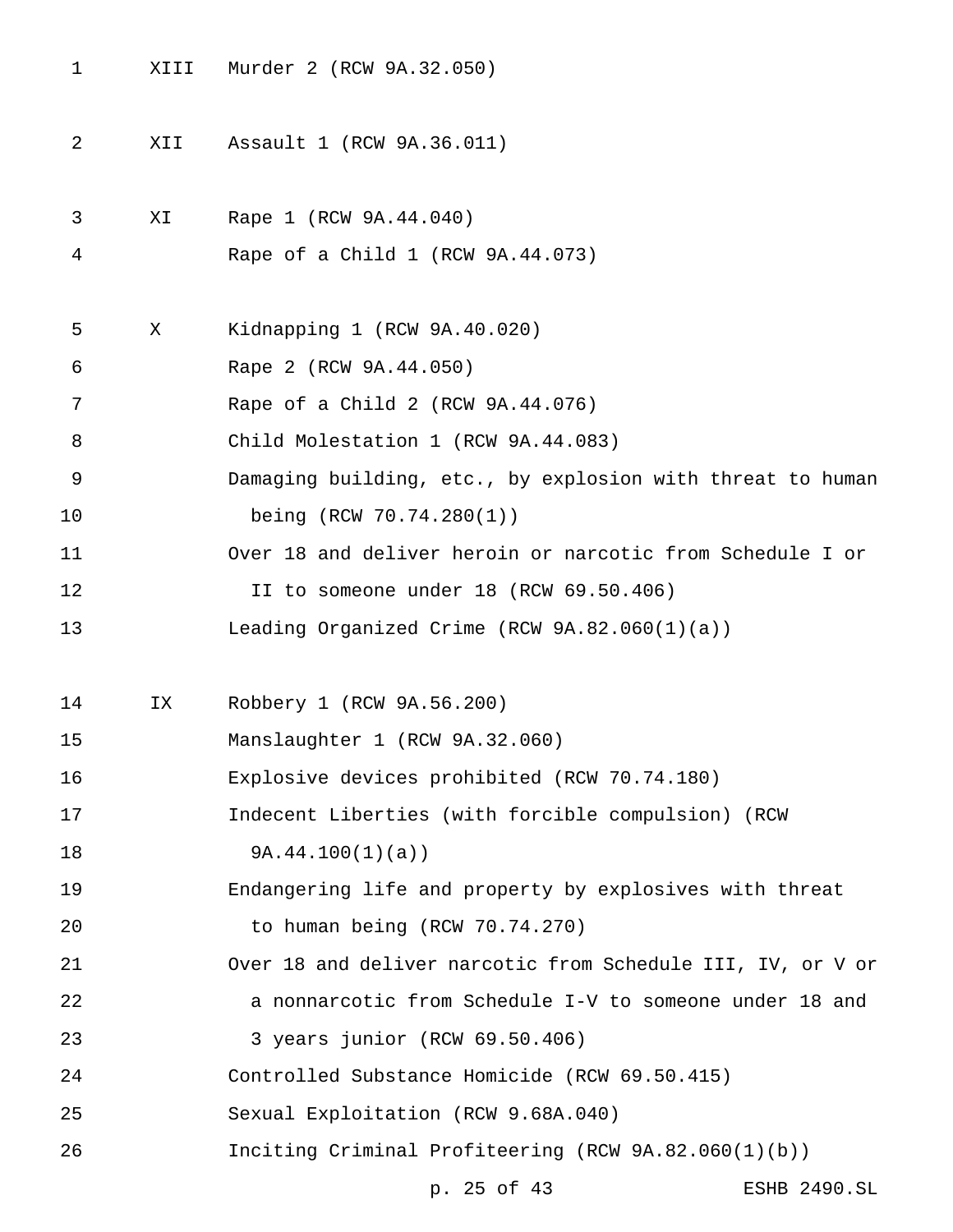- XIII Murder 2 (RCW 9A.32.050)
- XII Assault 1 (RCW 9A.36.011)
- XI Rape 1 (RCW 9A.44.040)
- Rape of a Child 1 (RCW 9A.44.073)
- X Kidnapping 1 (RCW 9A.40.020)
- Rape 2 (RCW 9A.44.050)
- Rape of a Child 2 (RCW 9A.44.076)
- Child Molestation 1 (RCW 9A.44.083)
- Damaging building, etc., by explosion with threat to human being (RCW 70.74.280(1))
- Over 18 and deliver heroin or narcotic from Schedule I or
- II to someone under 18 (RCW 69.50.406)
- Leading Organized Crime (RCW 9A.82.060(1)(a))
- IX Robbery 1 (RCW 9A.56.200)
- Manslaughter 1 (RCW 9A.32.060)
- Explosive devices prohibited (RCW 70.74.180)
- Indecent Liberties (with forcible compulsion) (RCW
- 9A.44.100(1)(a))
- Endangering life and property by explosives with threat to human being (RCW 70.74.270)
- 
- Over 18 and deliver narcotic from Schedule III, IV, or V or a nonnarcotic from Schedule I-V to someone under 18 and
- 3 years junior (RCW 69.50.406)
- Controlled Substance Homicide (RCW 69.50.415)
- Sexual Exploitation (RCW 9.68A.040)
- Inciting Criminal Profiteering (RCW 9A.82.060(1)(b))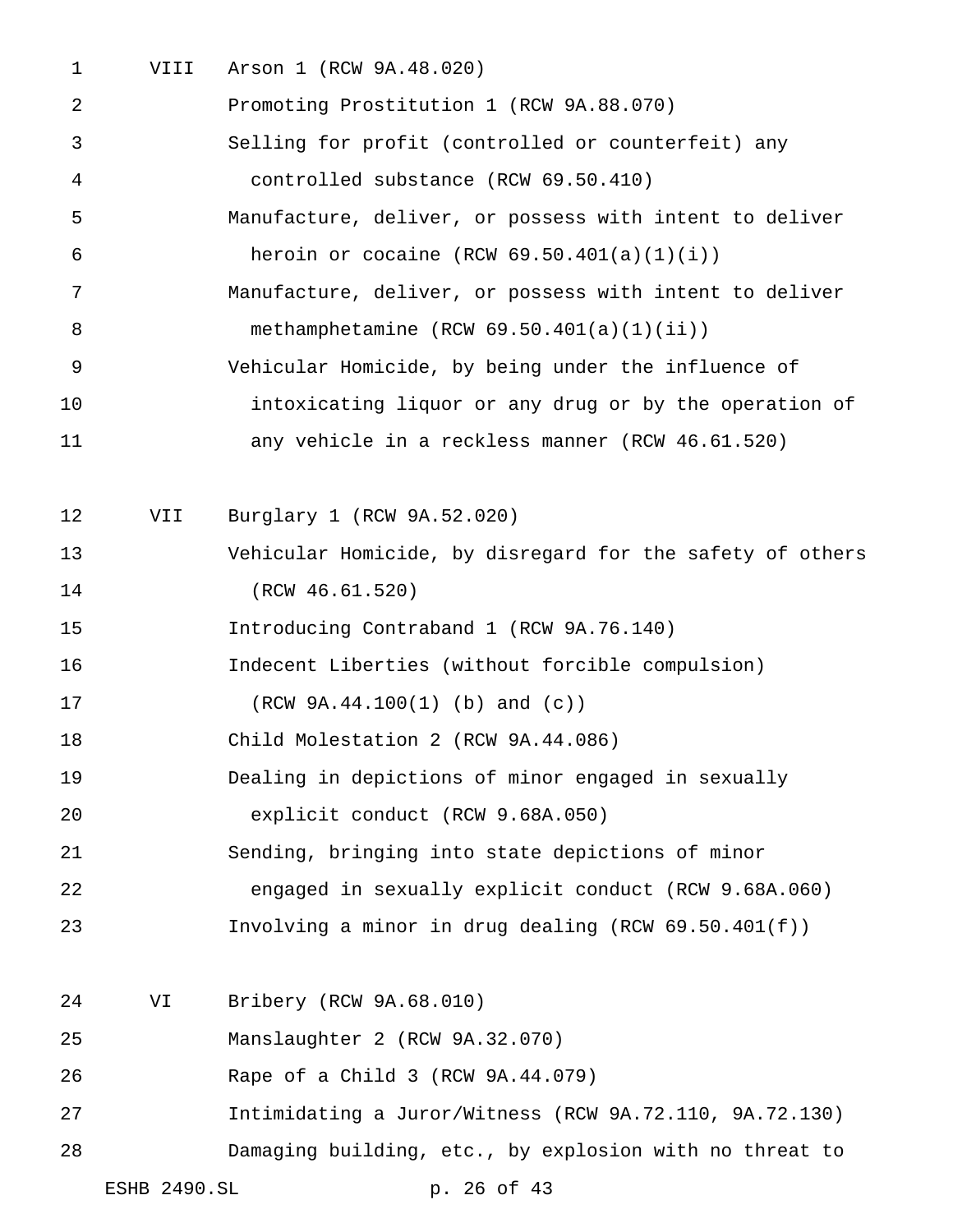VIII Arson 1 (RCW 9A.48.020)

| 2  |              | Promoting Prostitution 1 (RCW 9A.88.070)                  |
|----|--------------|-----------------------------------------------------------|
| 3  |              | Selling for profit (controlled or counterfeit) any        |
| 4  |              | controlled substance (RCW 69.50.410)                      |
| 5  |              | Manufacture, deliver, or possess with intent to deliver   |
| 6  |              | heroin or cocaine (RCW $69.50.401(a)(1)(i)$ )             |
| 7  |              | Manufacture, deliver, or possess with intent to deliver   |
| 8  |              | methamphetamine $(RCW 69.50.401(a)(1)(ii))$               |
| 9  |              | Vehicular Homicide, by being under the influence of       |
| 10 |              | intoxicating liquor or any drug or by the operation of    |
| 11 |              | any vehicle in a reckless manner (RCW 46.61.520)          |
| 12 | VII          | Burglary 1 (RCW 9A.52.020)                                |
| 13 |              | Vehicular Homicide, by disregard for the safety of others |
| 14 |              | (RCW 46.61.520)                                           |
| 15 |              | Introducing Contraband 1 (RCW 9A.76.140)                  |
| 16 |              | Indecent Liberties (without forcible compulsion)          |
| 17 |              | $(RCW 9A.44.100(1)$ (b) and (c))                          |
| 18 |              | Child Molestation 2 (RCW 9A.44.086)                       |
| 19 |              | Dealing in depictions of minor engaged in sexually        |
| 20 |              | explicit conduct (RCW 9.68A.050)                          |
| 21 |              | Sending, bringing into state depictions of minor          |
| 22 |              | engaged in sexually explicit conduct (RCW 9.68A.060)      |
| 23 |              | Involving a minor in drug dealing (RCW $69.50.401(f)$ )   |
| 24 | VI           | Bribery (RCW 9A.68.010)                                   |
| 25 |              | Manslaughter 2 (RCW 9A.32.070)                            |
| 26 |              | Rape of a Child 3 (RCW 9A.44.079)                         |
| 27 |              | Intimidating a Juror/Witness (RCW 9A.72.110, 9A.72.130)   |
| 28 |              | Damaging building, etc., by explosion with no threat to   |
|    | ESHB 2490.SL | p. 26 of 43                                               |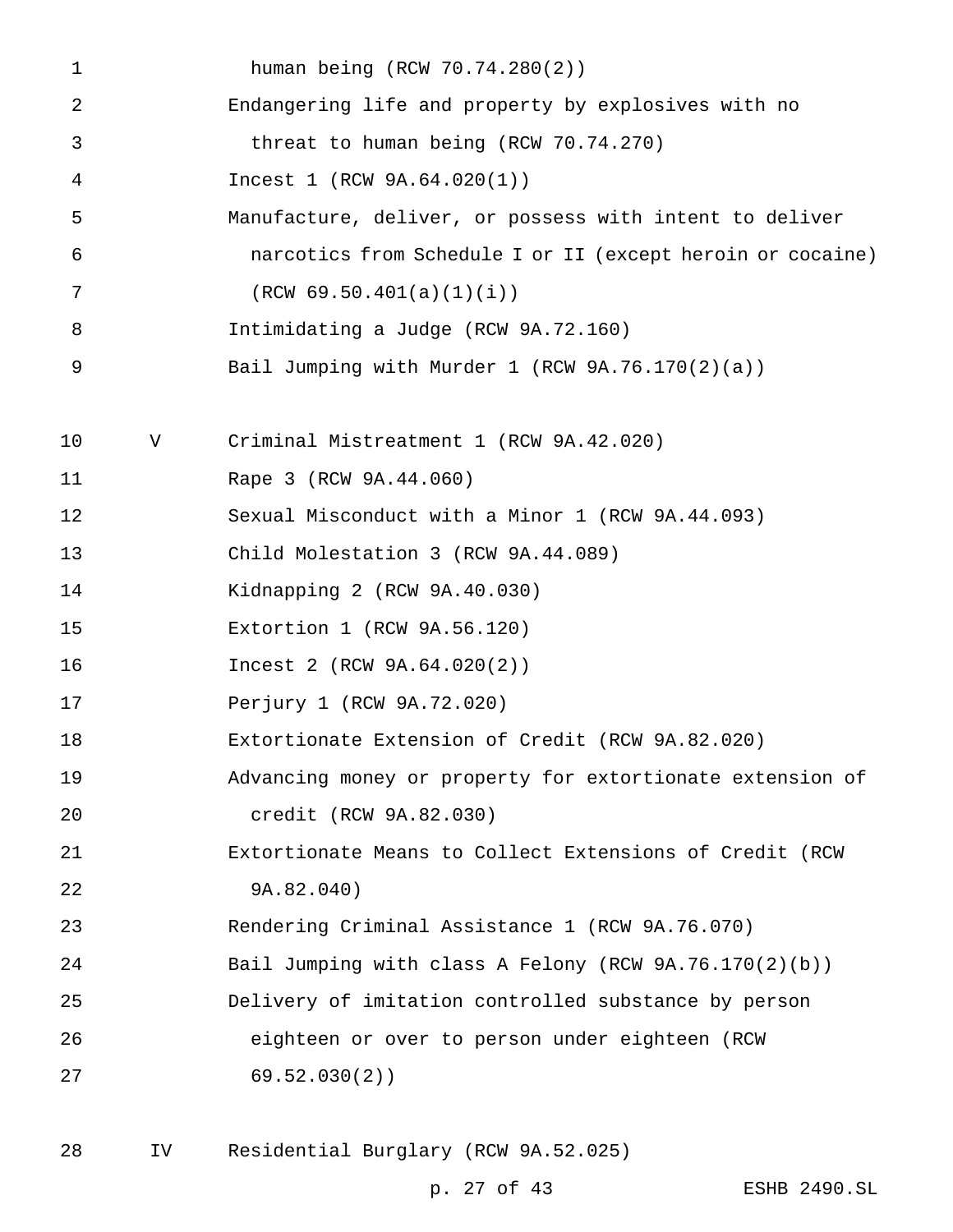| 1  |   | human being (RCW 70.74.280(2))                             |
|----|---|------------------------------------------------------------|
| 2  |   | Endangering life and property by explosives with no        |
| 3  |   | threat to human being (RCW 70.74.270)                      |
| 4  |   | Incest 1 (RCW 9A.64.020(1))                                |
| 5  |   | Manufacture, deliver, or possess with intent to deliver    |
| 6  |   | narcotics from Schedule I or II (except heroin or cocaine) |
| 7  |   | (RCW 69.50.401(a)(1)(i))                                   |
| 8  |   | Intimidating a Judge (RCW 9A.72.160)                       |
| 9  |   | Bail Jumping with Murder 1 (RCW 9A.76.170(2)(a))           |
|    |   |                                                            |
| 10 | V | Criminal Mistreatment 1 (RCW 9A.42.020)                    |
| 11 |   | Rape 3 (RCW 9A.44.060)                                     |
| 12 |   | Sexual Misconduct with a Minor 1 (RCW 9A.44.093)           |
| 13 |   | Child Molestation 3 (RCW 9A.44.089)                        |
| 14 |   | Kidnapping 2 (RCW 9A.40.030)                               |
| 15 |   | Extortion 1 (RCW 9A.56.120)                                |
| 16 |   | Incest 2 (RCW 9A.64.020(2))                                |
| 17 |   | Perjury 1 (RCW 9A.72.020)                                  |
| 18 |   | Extortionate Extension of Credit (RCW 9A.82.020)           |
| 19 |   | Advancing money or property for extortionate extension of  |
| 20 |   | credit (RCW 9A.82.030)                                     |
| 21 |   | Extortionate Means to Collect Extensions of Credit (RCW    |
| 22 |   | 9A.82.040)                                                 |
| 23 |   | Rendering Criminal Assistance 1 (RCW 9A.76.070)            |
| 24 |   | Bail Jumping with class A Felony (RCW 9A.76.170(2)(b))     |
| 25 |   | Delivery of imitation controlled substance by person       |
| 26 |   | eighteen or over to person under eighteen (RCW             |
| 27 |   | 69.52.030(2)                                               |
|    |   |                                                            |

IV Residential Burglary (RCW 9A.52.025)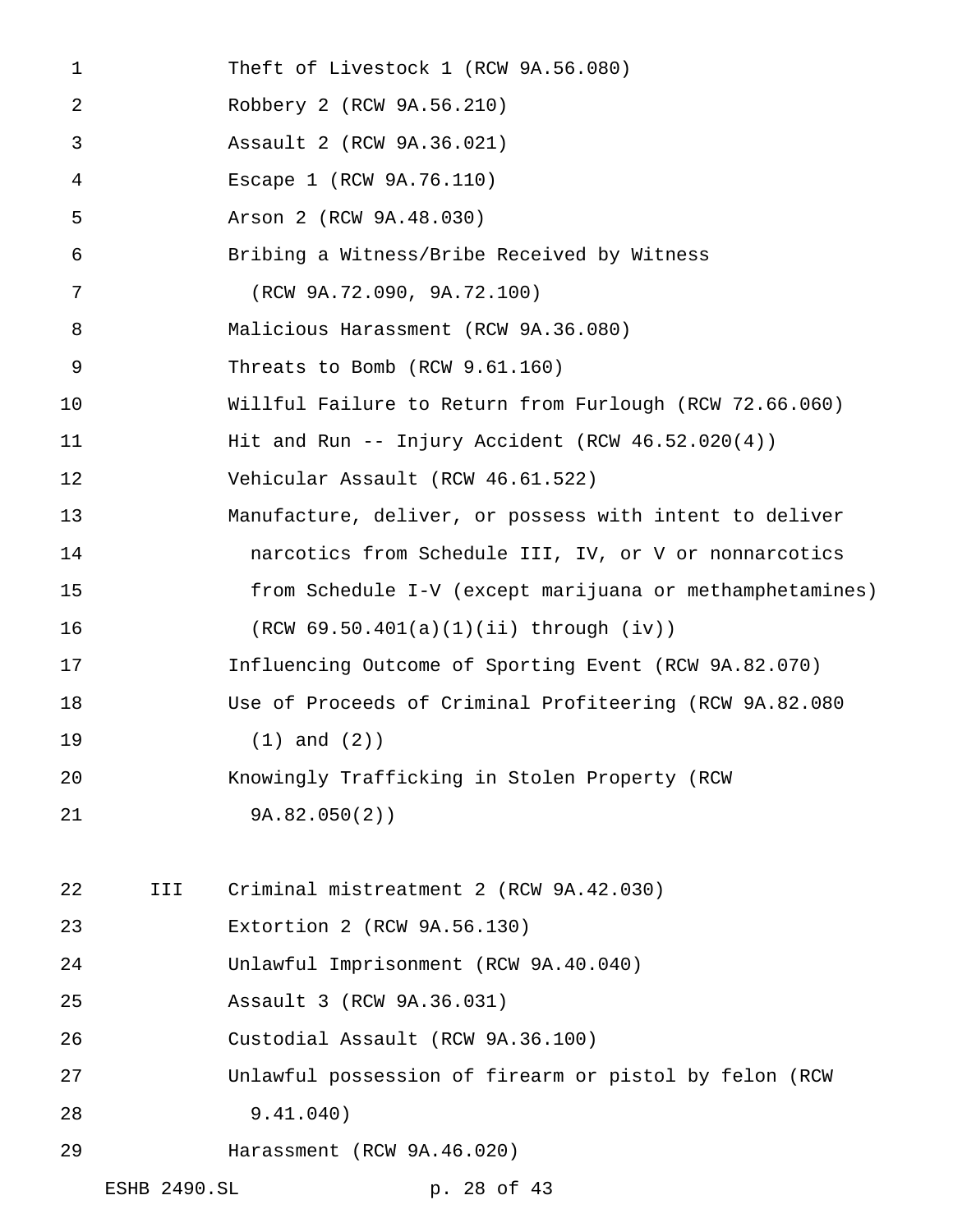Theft of Livestock 1 (RCW 9A.56.080) Robbery 2 (RCW 9A.56.210) Assault 2 (RCW 9A.36.021) Escape 1 (RCW 9A.76.110) Arson 2 (RCW 9A.48.030) Bribing a Witness/Bribe Received by Witness (RCW 9A.72.090, 9A.72.100) Malicious Harassment (RCW 9A.36.080) Threats to Bomb (RCW 9.61.160) Willful Failure to Return from Furlough (RCW 72.66.060) 11 Hit and Run -- Injury Accident (RCW 46.52.020(4)) Vehicular Assault (RCW 46.61.522) Manufacture, deliver, or possess with intent to deliver narcotics from Schedule III, IV, or V or nonnarcotics from Schedule I-V (except marijuana or methamphetamines) (RCW 69.50.401(a)(1)(ii) through (iv)) Influencing Outcome of Sporting Event (RCW 9A.82.070) Use of Proceeds of Criminal Profiteering (RCW 9A.82.080 (1) and (2)) Knowingly Trafficking in Stolen Property (RCW 9A.82.050(2)) III Criminal mistreatment 2 (RCW 9A.42.030) Extortion 2 (RCW 9A.56.130) Unlawful Imprisonment (RCW 9A.40.040) Assault 3 (RCW 9A.36.031) Custodial Assault (RCW 9A.36.100) Unlawful possession of firearm or pistol by felon (RCW 9.41.040) Harassment (RCW 9A.46.020) ESHB 2490.SL p. 28 of 43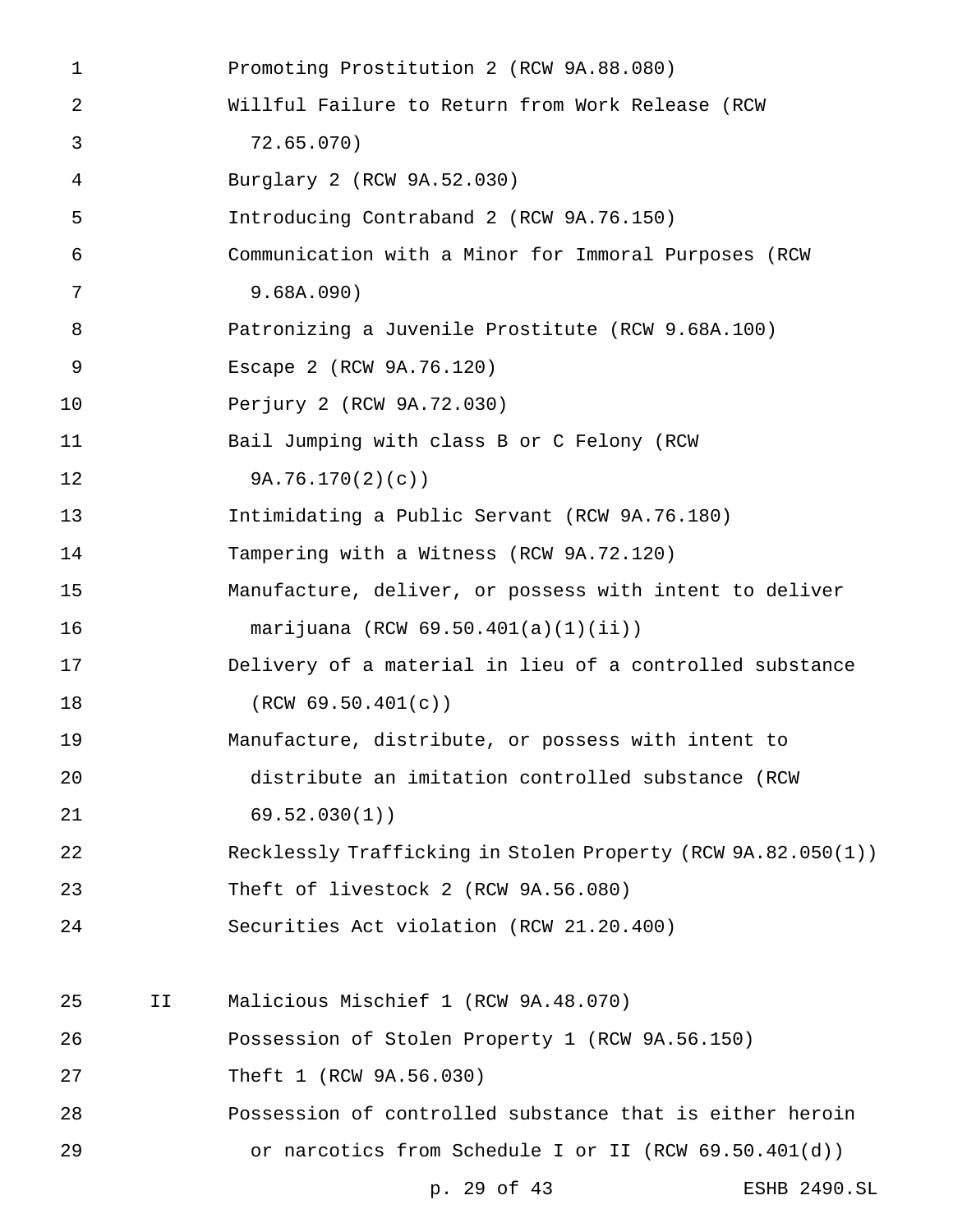Promoting Prostitution 2 (RCW 9A.88.080) Willful Failure to Return from Work Release (RCW 72.65.070) Burglary 2 (RCW 9A.52.030) Introducing Contraband 2 (RCW 9A.76.150) Communication with a Minor for Immoral Purposes (RCW 9.68A.090) Patronizing a Juvenile Prostitute (RCW 9.68A.100) Escape 2 (RCW 9A.76.120) Perjury 2 (RCW 9A.72.030) Bail Jumping with class B or C Felony (RCW 9A.76.170(2)(c)) Intimidating a Public Servant (RCW 9A.76.180) Tampering with a Witness (RCW 9A.72.120) Manufacture, deliver, or possess with intent to deliver marijuana (RCW 69.50.401(a)(1)(ii)) Delivery of a material in lieu of a controlled substance 18 (RCW 69.50.401(c)) Manufacture, distribute, or possess with intent to distribute an imitation controlled substance (RCW 69.52.030(1)) Recklessly Trafficking in Stolen Property (RCW 9A.82.050(1)) Theft of livestock 2 (RCW 9A.56.080) Securities Act violation (RCW 21.20.400) II Malicious Mischief 1 (RCW 9A.48.070) Possession of Stolen Property 1 (RCW 9A.56.150) Theft 1 (RCW 9A.56.030) Possession of controlled substance that is either heroin or narcotics from Schedule I or II (RCW 69.50.401(d)) p. 29 of 43 ESHB 2490.SL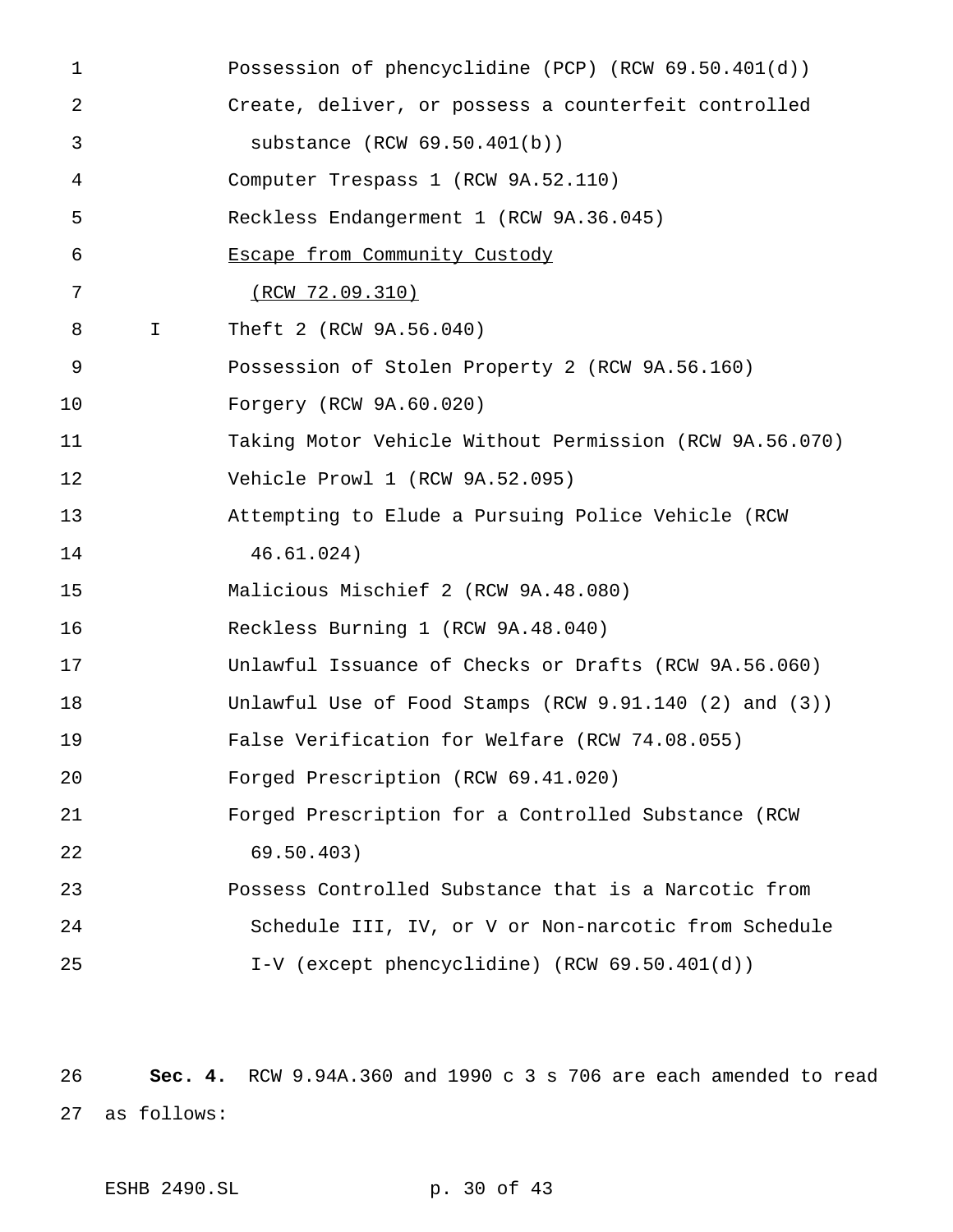Possession of phencyclidine (PCP) (RCW 69.50.401(d)) Create, deliver, or possess a counterfeit controlled substance (RCW 69.50.401(b)) Computer Trespass 1 (RCW 9A.52.110) Reckless Endangerment 1 (RCW 9A.36.045) Escape from Community Custody (RCW 72.09.310) I Theft 2 (RCW 9A.56.040) Possession of Stolen Property 2 (RCW 9A.56.160) Forgery (RCW 9A.60.020) Taking Motor Vehicle Without Permission (RCW 9A.56.070) Vehicle Prowl 1 (RCW 9A.52.095) Attempting to Elude a Pursuing Police Vehicle (RCW 46.61.024) Malicious Mischief 2 (RCW 9A.48.080) Reckless Burning 1 (RCW 9A.48.040) Unlawful Issuance of Checks or Drafts (RCW 9A.56.060) Unlawful Use of Food Stamps (RCW 9.91.140 (2) and (3)) False Verification for Welfare (RCW 74.08.055) Forged Prescription (RCW 69.41.020) Forged Prescription for a Controlled Substance (RCW 69.50.403) Possess Controlled Substance that is a Narcotic from Schedule III, IV, or V or Non-narcotic from Schedule I-V (except phencyclidine) (RCW 69.50.401(d))

 **Sec. 4.** RCW 9.94A.360 and 1990 c 3 s 706 are each amended to read as follows: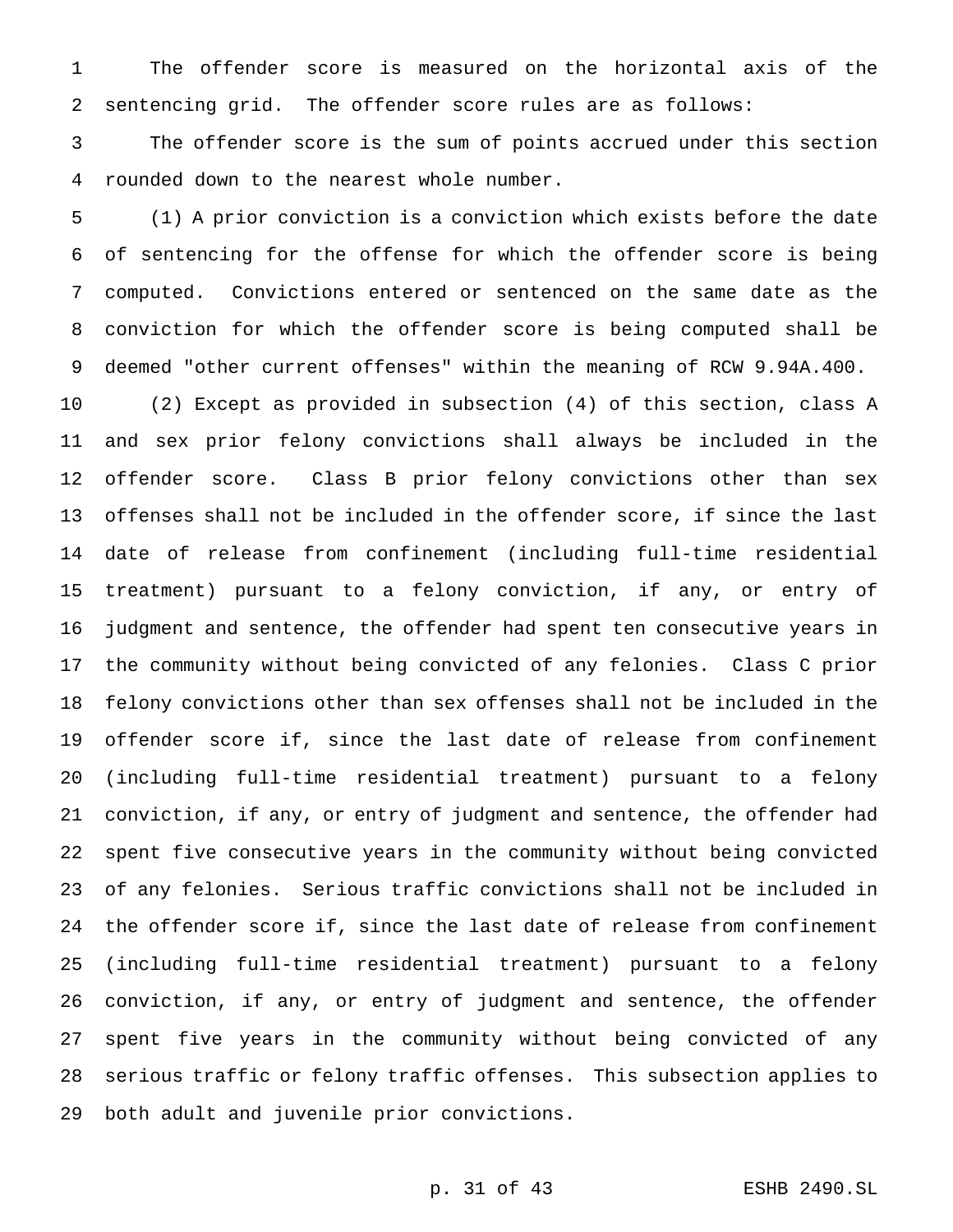The offender score is measured on the horizontal axis of the sentencing grid. The offender score rules are as follows:

 The offender score is the sum of points accrued under this section rounded down to the nearest whole number.

 (1) A prior conviction is a conviction which exists before the date of sentencing for the offense for which the offender score is being computed. Convictions entered or sentenced on the same date as the conviction for which the offender score is being computed shall be deemed "other current offenses" within the meaning of RCW 9.94A.400.

 (2) Except as provided in subsection (4) of this section, class A and sex prior felony convictions shall always be included in the offender score. Class B prior felony convictions other than sex offenses shall not be included in the offender score, if since the last date of release from confinement (including full-time residential treatment) pursuant to a felony conviction, if any, or entry of judgment and sentence, the offender had spent ten consecutive years in the community without being convicted of any felonies. Class C prior felony convictions other than sex offenses shall not be included in the offender score if, since the last date of release from confinement (including full-time residential treatment) pursuant to a felony conviction, if any, or entry of judgment and sentence, the offender had spent five consecutive years in the community without being convicted of any felonies. Serious traffic convictions shall not be included in the offender score if, since the last date of release from confinement (including full-time residential treatment) pursuant to a felony conviction, if any, or entry of judgment and sentence, the offender spent five years in the community without being convicted of any serious traffic or felony traffic offenses. This subsection applies to both adult and juvenile prior convictions.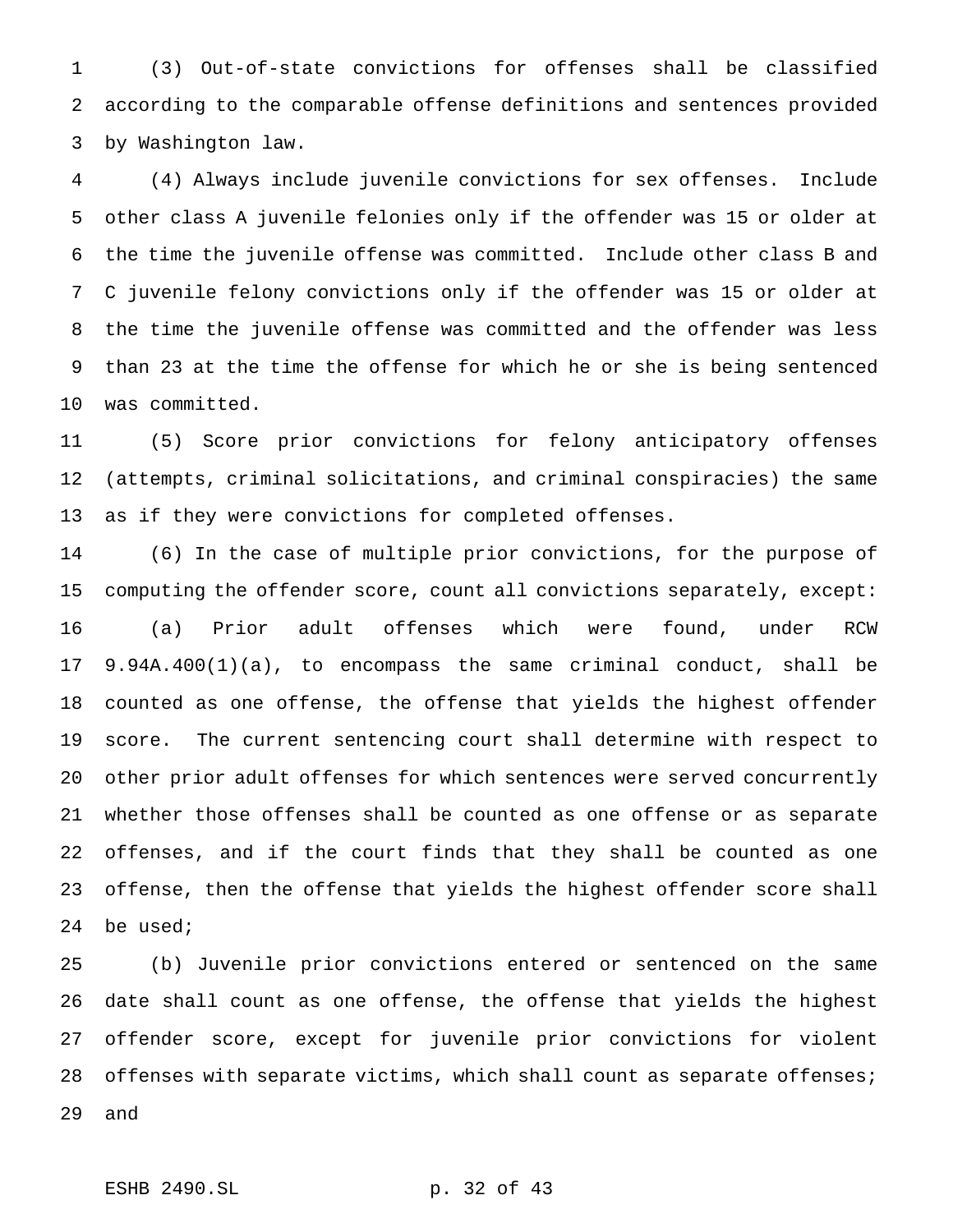(3) Out-of-state convictions for offenses shall be classified according to the comparable offense definitions and sentences provided by Washington law.

 (4) Always include juvenile convictions for sex offenses. Include other class A juvenile felonies only if the offender was 15 or older at the time the juvenile offense was committed. Include other class B and C juvenile felony convictions only if the offender was 15 or older at the time the juvenile offense was committed and the offender was less than 23 at the time the offense for which he or she is being sentenced was committed.

 (5) Score prior convictions for felony anticipatory offenses (attempts, criminal solicitations, and criminal conspiracies) the same as if they were convictions for completed offenses.

 (6) In the case of multiple prior convictions, for the purpose of computing the offender score, count all convictions separately, except: (a) Prior adult offenses which were found, under RCW 9.94A.400(1)(a), to encompass the same criminal conduct, shall be counted as one offense, the offense that yields the highest offender score. The current sentencing court shall determine with respect to other prior adult offenses for which sentences were served concurrently whether those offenses shall be counted as one offense or as separate offenses, and if the court finds that they shall be counted as one offense, then the offense that yields the highest offender score shall be used;

 (b) Juvenile prior convictions entered or sentenced on the same date shall count as one offense, the offense that yields the highest offender score, except for juvenile prior convictions for violent 28 offenses with separate victims, which shall count as separate offenses; and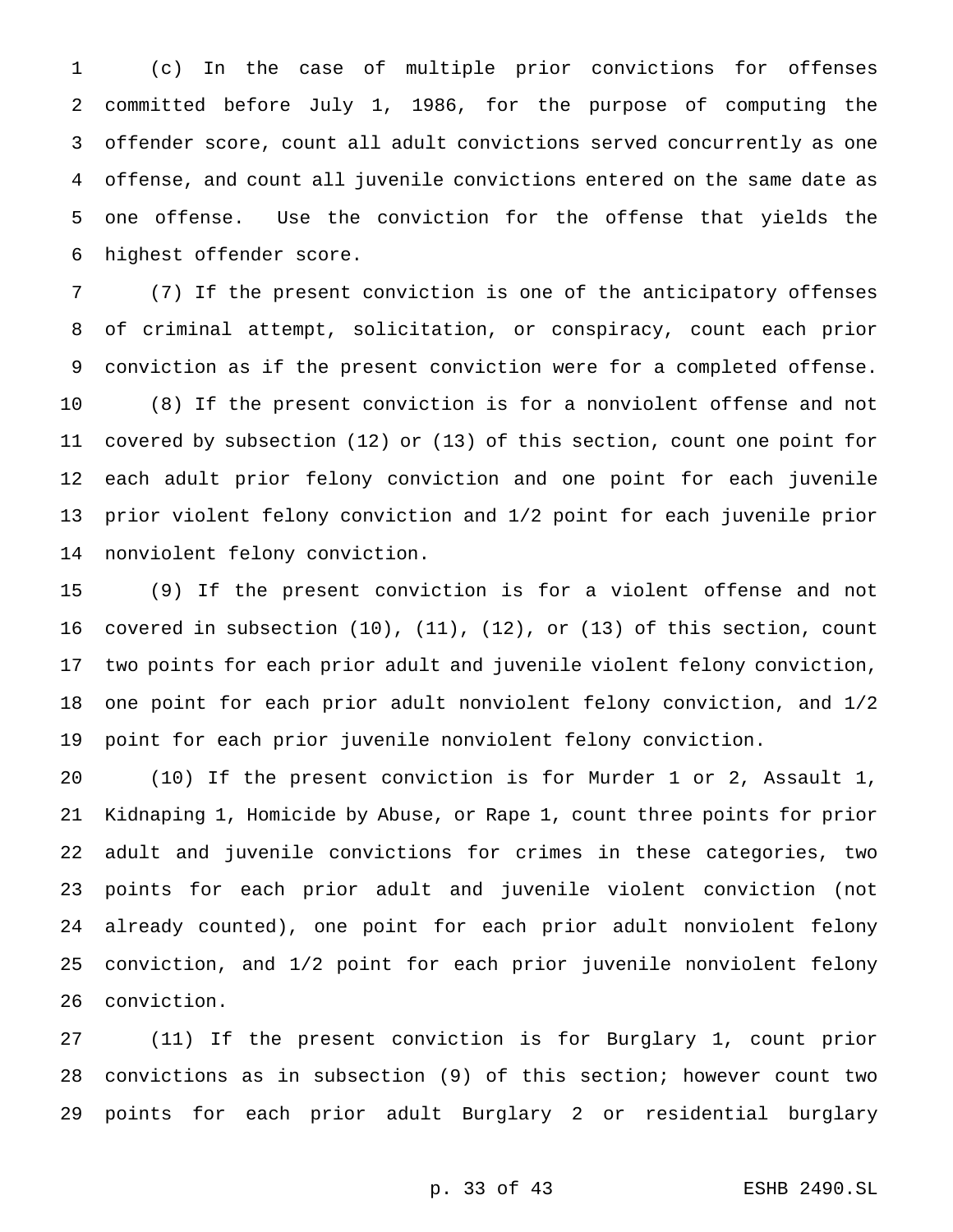(c) In the case of multiple prior convictions for offenses committed before July 1, 1986, for the purpose of computing the offender score, count all adult convictions served concurrently as one offense, and count all juvenile convictions entered on the same date as one offense. Use the conviction for the offense that yields the highest offender score.

 (7) If the present conviction is one of the anticipatory offenses of criminal attempt, solicitation, or conspiracy, count each prior conviction as if the present conviction were for a completed offense. (8) If the present conviction is for a nonviolent offense and not covered by subsection (12) or (13) of this section, count one point for each adult prior felony conviction and one point for each juvenile prior violent felony conviction and 1/2 point for each juvenile prior nonviolent felony conviction.

 (9) If the present conviction is for a violent offense and not covered in subsection (10), (11), (12), or (13) of this section, count two points for each prior adult and juvenile violent felony conviction, one point for each prior adult nonviolent felony conviction, and 1/2 point for each prior juvenile nonviolent felony conviction.

 (10) If the present conviction is for Murder 1 or 2, Assault 1, Kidnaping 1, Homicide by Abuse, or Rape 1, count three points for prior adult and juvenile convictions for crimes in these categories, two points for each prior adult and juvenile violent conviction (not already counted), one point for each prior adult nonviolent felony conviction, and 1/2 point for each prior juvenile nonviolent felony conviction.

 (11) If the present conviction is for Burglary 1, count prior convictions as in subsection (9) of this section; however count two points for each prior adult Burglary 2 or residential burglary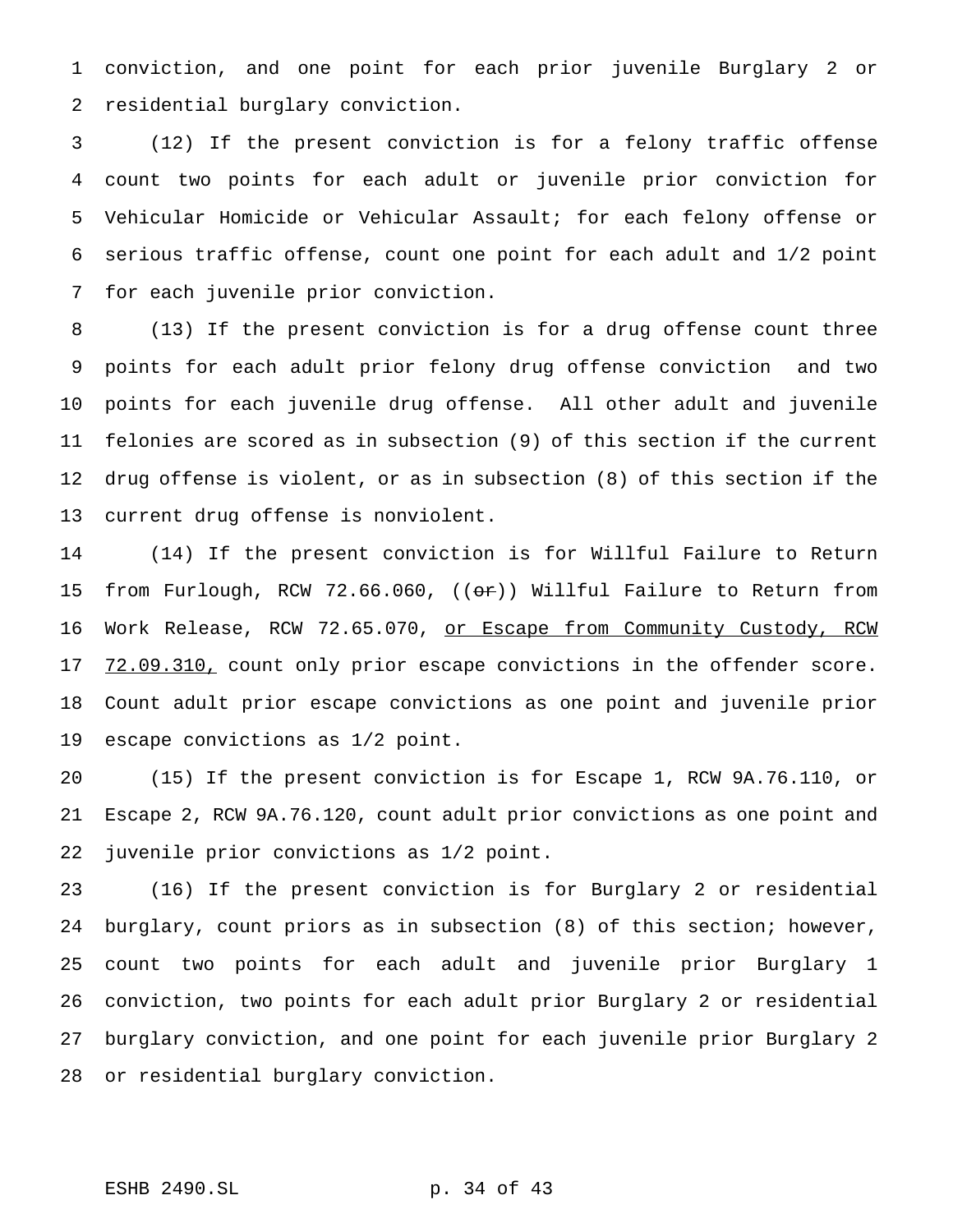conviction, and one point for each prior juvenile Burglary 2 or residential burglary conviction.

 (12) If the present conviction is for a felony traffic offense count two points for each adult or juvenile prior conviction for Vehicular Homicide or Vehicular Assault; for each felony offense or serious traffic offense, count one point for each adult and 1/2 point for each juvenile prior conviction.

 (13) If the present conviction is for a drug offense count three points for each adult prior felony drug offense conviction and two points for each juvenile drug offense. All other adult and juvenile felonies are scored as in subsection (9) of this section if the current drug offense is violent, or as in subsection (8) of this section if the current drug offense is nonviolent.

 (14) If the present conviction is for Willful Failure to Return 15 from Furlough, RCW 72.66.060, ((or)) Willful Failure to Return from 16 Work Release, RCW 72.65.070, <u>or Escape from Community Custody, RCW</u> 17 72.09.310, count only prior escape convictions in the offender score. Count adult prior escape convictions as one point and juvenile prior escape convictions as 1/2 point.

 (15) If the present conviction is for Escape 1, RCW 9A.76.110, or Escape 2, RCW 9A.76.120, count adult prior convictions as one point and juvenile prior convictions as 1/2 point.

 (16) If the present conviction is for Burglary 2 or residential burglary, count priors as in subsection (8) of this section; however, count two points for each adult and juvenile prior Burglary 1 conviction, two points for each adult prior Burglary 2 or residential burglary conviction, and one point for each juvenile prior Burglary 2 or residential burglary conviction.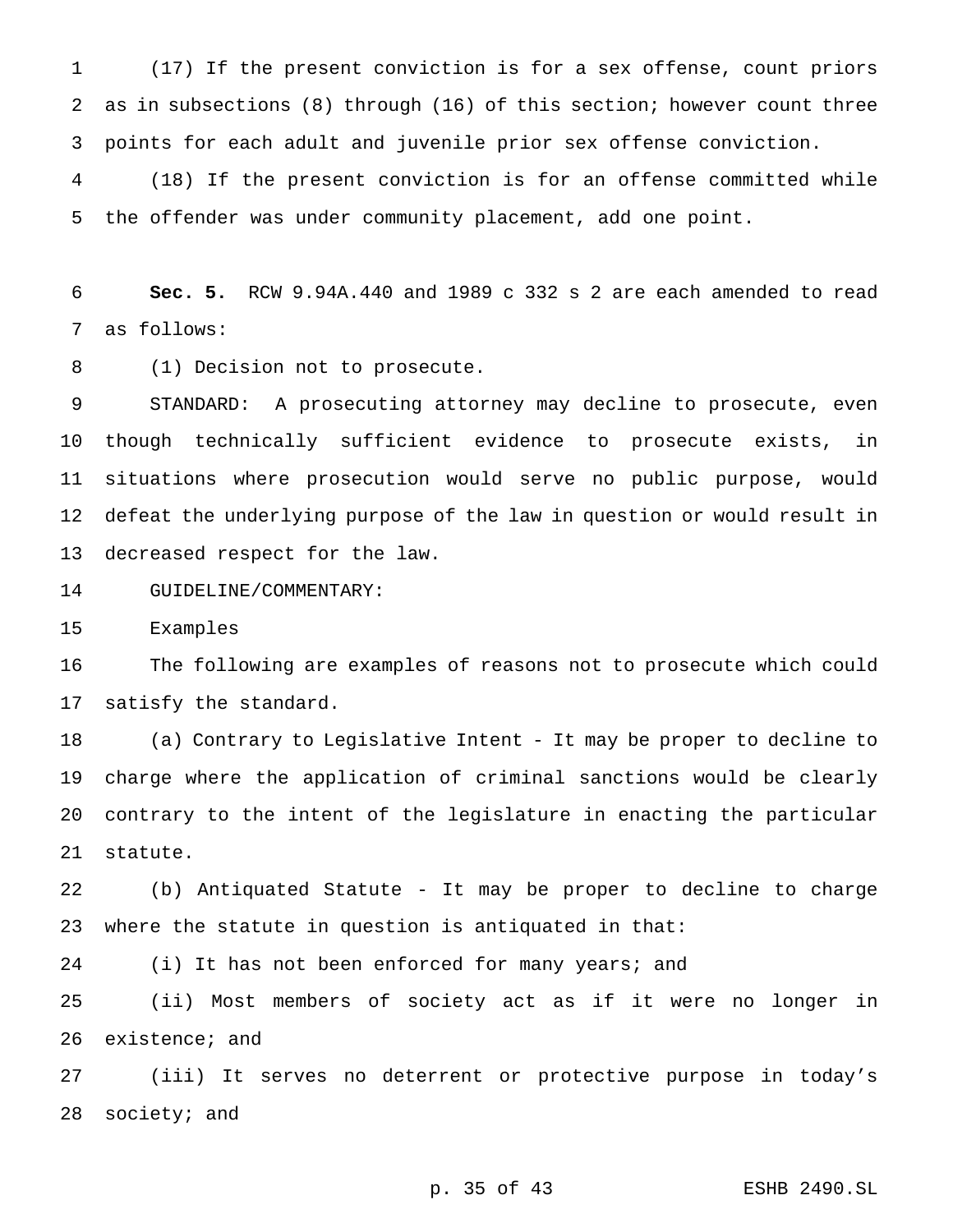(17) If the present conviction is for a sex offense, count priors as in subsections (8) through (16) of this section; however count three points for each adult and juvenile prior sex offense conviction.

 (18) If the present conviction is for an offense committed while the offender was under community placement, add one point.

 **Sec. 5.** RCW 9.94A.440 and 1989 c 332 s 2 are each amended to read as follows:

8 (1) Decision not to prosecute.

 STANDARD: A prosecuting attorney may decline to prosecute, even though technically sufficient evidence to prosecute exists, in situations where prosecution would serve no public purpose, would defeat the underlying purpose of the law in question or would result in decreased respect for the law.

GUIDELINE/COMMENTARY:

Examples

 The following are examples of reasons not to prosecute which could satisfy the standard.

 (a) Contrary to Legislative Intent - It may be proper to decline to charge where the application of criminal sanctions would be clearly contrary to the intent of the legislature in enacting the particular statute.

 (b) Antiquated Statute - It may be proper to decline to charge where the statute in question is antiquated in that:

(i) It has not been enforced for many years; and

 (ii) Most members of society act as if it were no longer in existence; and

 (iii) It serves no deterrent or protective purpose in today's society; and

p. 35 of 43 ESHB 2490.SL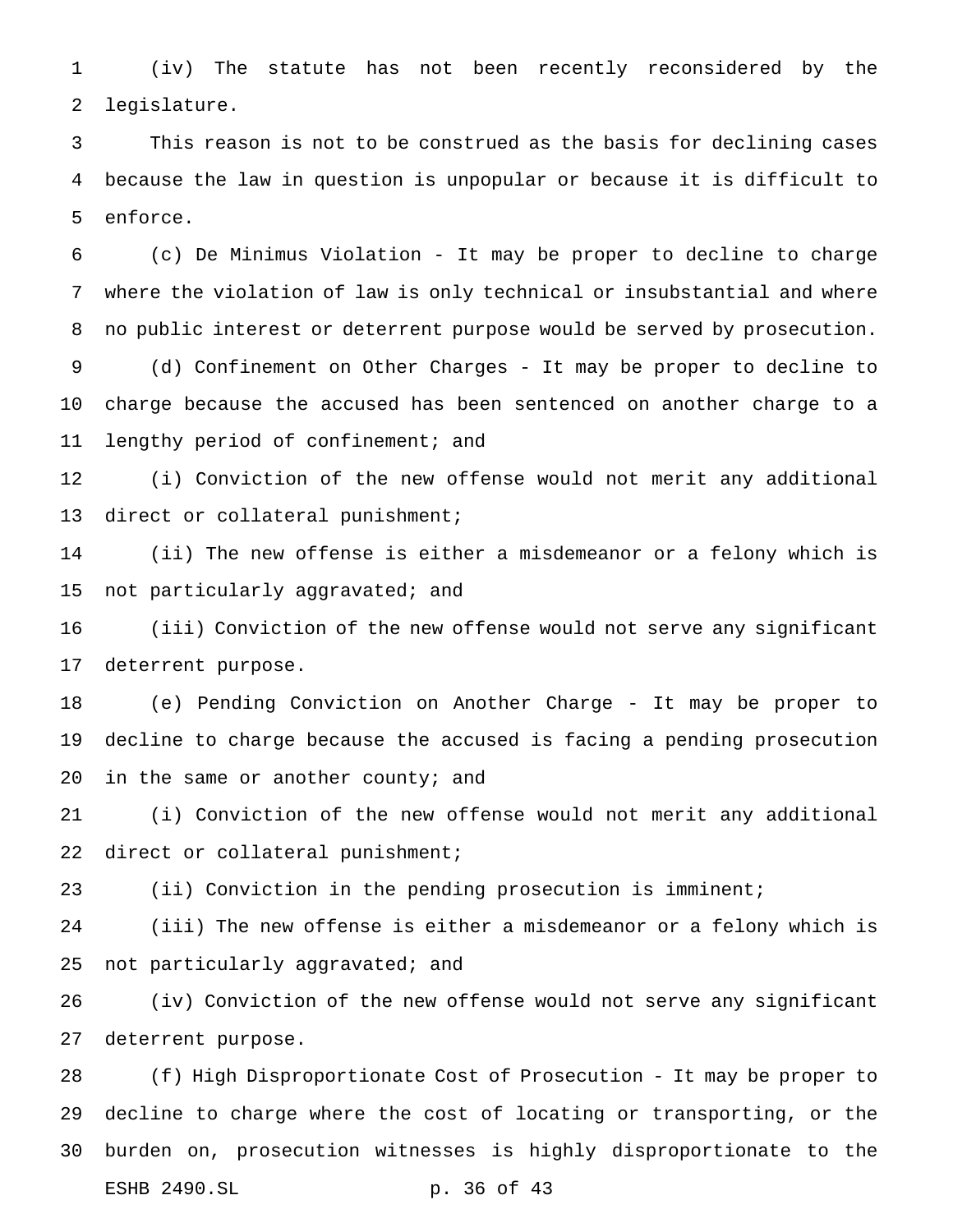(iv) The statute has not been recently reconsidered by the legislature.

 This reason is not to be construed as the basis for declining cases because the law in question is unpopular or because it is difficult to enforce.

 (c) De Minimus Violation - It may be proper to decline to charge where the violation of law is only technical or insubstantial and where no public interest or deterrent purpose would be served by prosecution.

 (d) Confinement on Other Charges - It may be proper to decline to charge because the accused has been sentenced on another charge to a 11 lengthy period of confinement; and

 (i) Conviction of the new offense would not merit any additional 13 direct or collateral punishment;

 (ii) The new offense is either a misdemeanor or a felony which is not particularly aggravated; and

 (iii) Conviction of the new offense would not serve any significant deterrent purpose.

 (e) Pending Conviction on Another Charge - It may be proper to decline to charge because the accused is facing a pending prosecution 20 in the same or another county; and

 (i) Conviction of the new offense would not merit any additional direct or collateral punishment;

(ii) Conviction in the pending prosecution is imminent;

 (iii) The new offense is either a misdemeanor or a felony which is not particularly aggravated; and

 (iv) Conviction of the new offense would not serve any significant deterrent purpose.

 (f) High Disproportionate Cost of Prosecution - It may be proper to decline to charge where the cost of locating or transporting, or the burden on, prosecution witnesses is highly disproportionate to the ESHB 2490.SL p. 36 of 43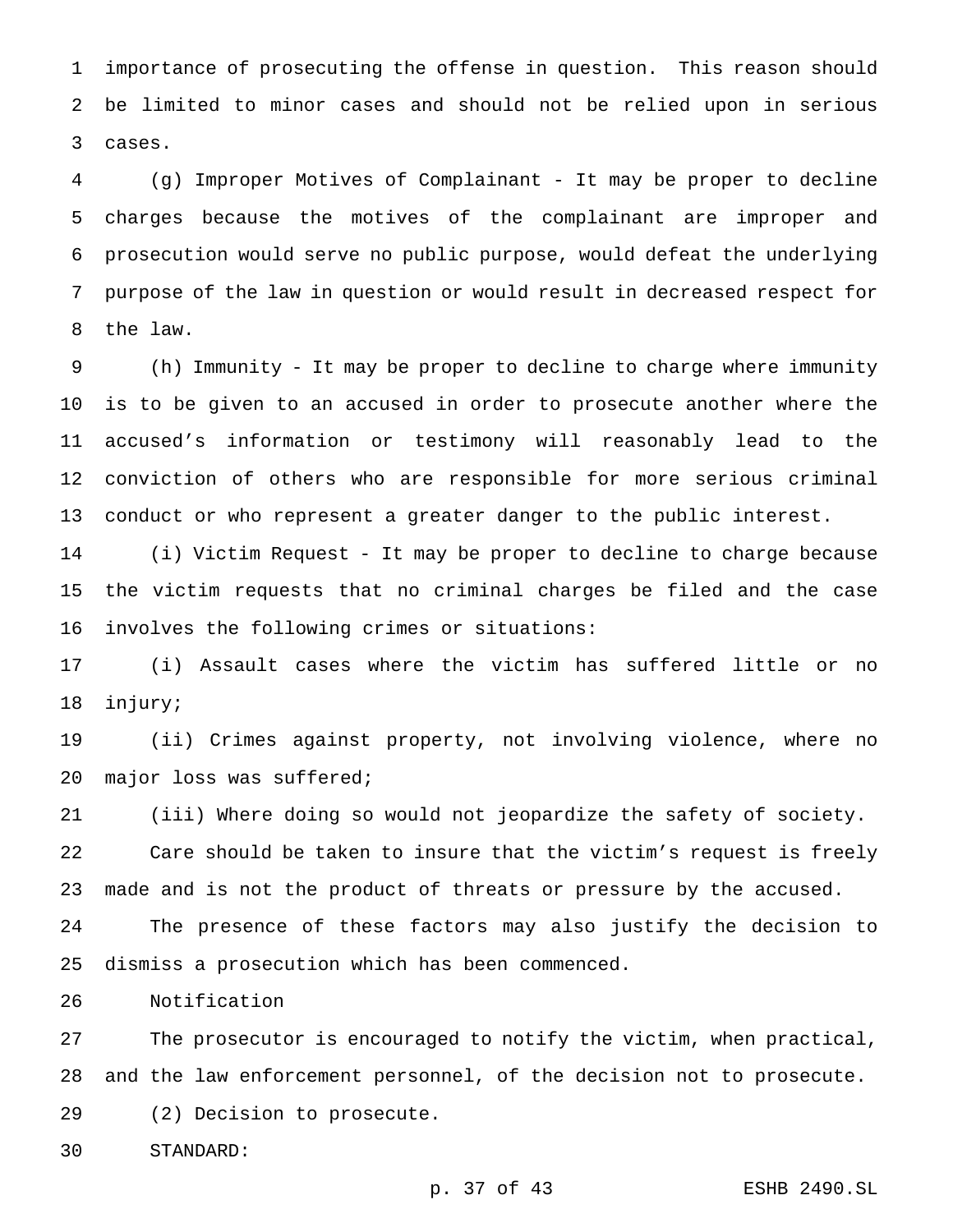importance of prosecuting the offense in question. This reason should be limited to minor cases and should not be relied upon in serious cases.

 (g) Improper Motives of Complainant - It may be proper to decline charges because the motives of the complainant are improper and prosecution would serve no public purpose, would defeat the underlying purpose of the law in question or would result in decreased respect for the law.

 (h) Immunity - It may be proper to decline to charge where immunity is to be given to an accused in order to prosecute another where the accused's information or testimony will reasonably lead to the conviction of others who are responsible for more serious criminal conduct or who represent a greater danger to the public interest.

 (i) Victim Request - It may be proper to decline to charge because the victim requests that no criminal charges be filed and the case involves the following crimes or situations:

 (i) Assault cases where the victim has suffered little or no injury;

 (ii) Crimes against property, not involving violence, where no major loss was suffered;

 (iii) Where doing so would not jeopardize the safety of society. Care should be taken to insure that the victim's request is freely made and is not the product of threats or pressure by the accused.

 The presence of these factors may also justify the decision to dismiss a prosecution which has been commenced.

Notification

 The prosecutor is encouraged to notify the victim, when practical, and the law enforcement personnel, of the decision not to prosecute. (2) Decision to prosecute.

STANDARD:

p. 37 of 43 ESHB 2490.SL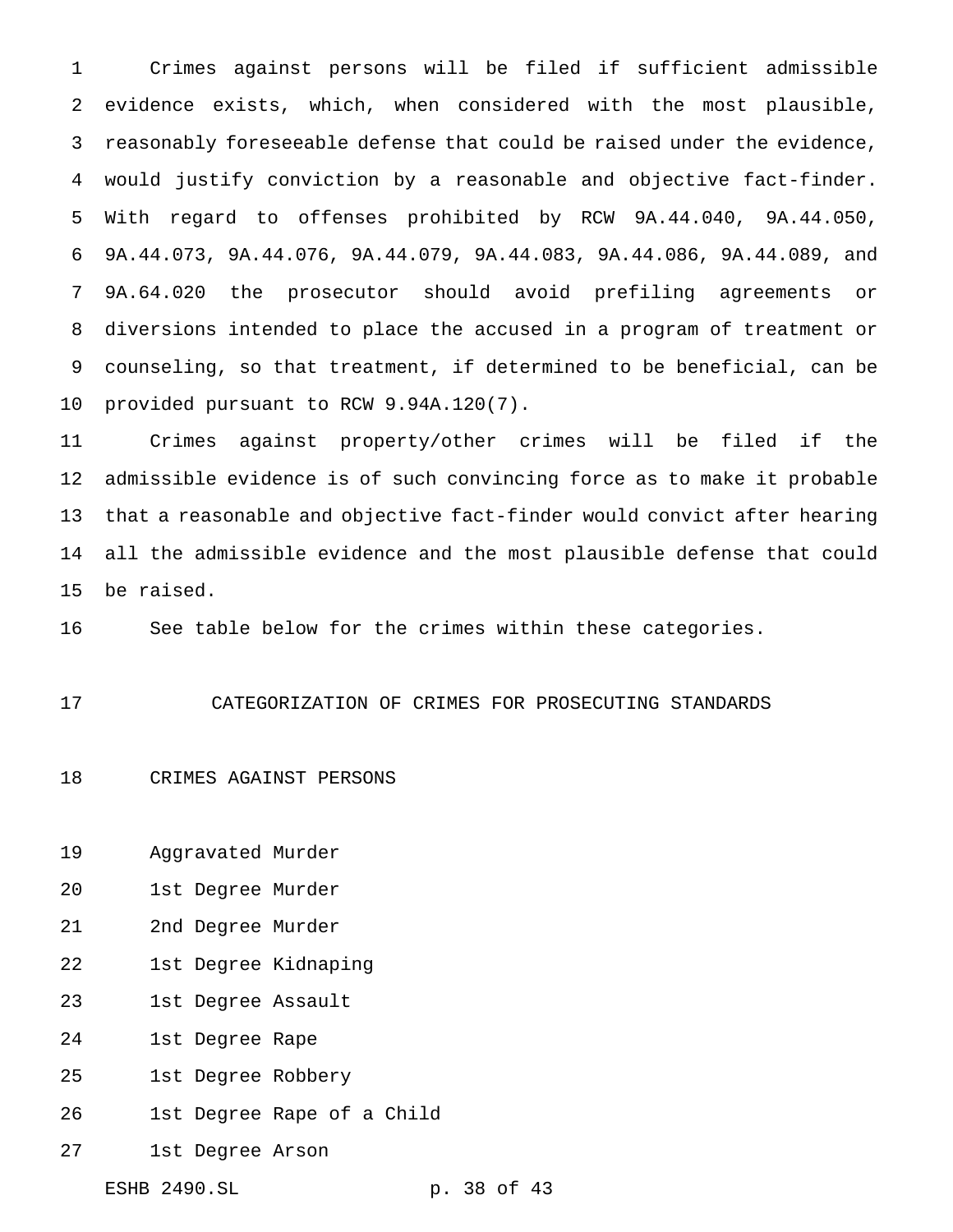Crimes against persons will be filed if sufficient admissible evidence exists, which, when considered with the most plausible, reasonably foreseeable defense that could be raised under the evidence, would justify conviction by a reasonable and objective fact-finder. With regard to offenses prohibited by RCW 9A.44.040, 9A.44.050, 9A.44.073, 9A.44.076, 9A.44.079, 9A.44.083, 9A.44.086, 9A.44.089, and 9A.64.020 the prosecutor should avoid prefiling agreements or diversions intended to place the accused in a program of treatment or counseling, so that treatment, if determined to be beneficial, can be provided pursuant to RCW 9.94A.120(7).

 Crimes against property/other crimes will be filed if the admissible evidence is of such convincing force as to make it probable that a reasonable and objective fact-finder would convict after hearing all the admissible evidence and the most plausible defense that could be raised.

See table below for the crimes within these categories.

CATEGORIZATION OF CRIMES FOR PROSECUTING STANDARDS

CRIMES AGAINST PERSONS

Aggravated Murder

1st Degree Murder

2nd Degree Murder

1st Degree Kidnaping

1st Degree Assault

1st Degree Rape

1st Degree Robbery

1st Degree Rape of a Child

1st Degree Arson

ESHB 2490.SL p. 38 of 43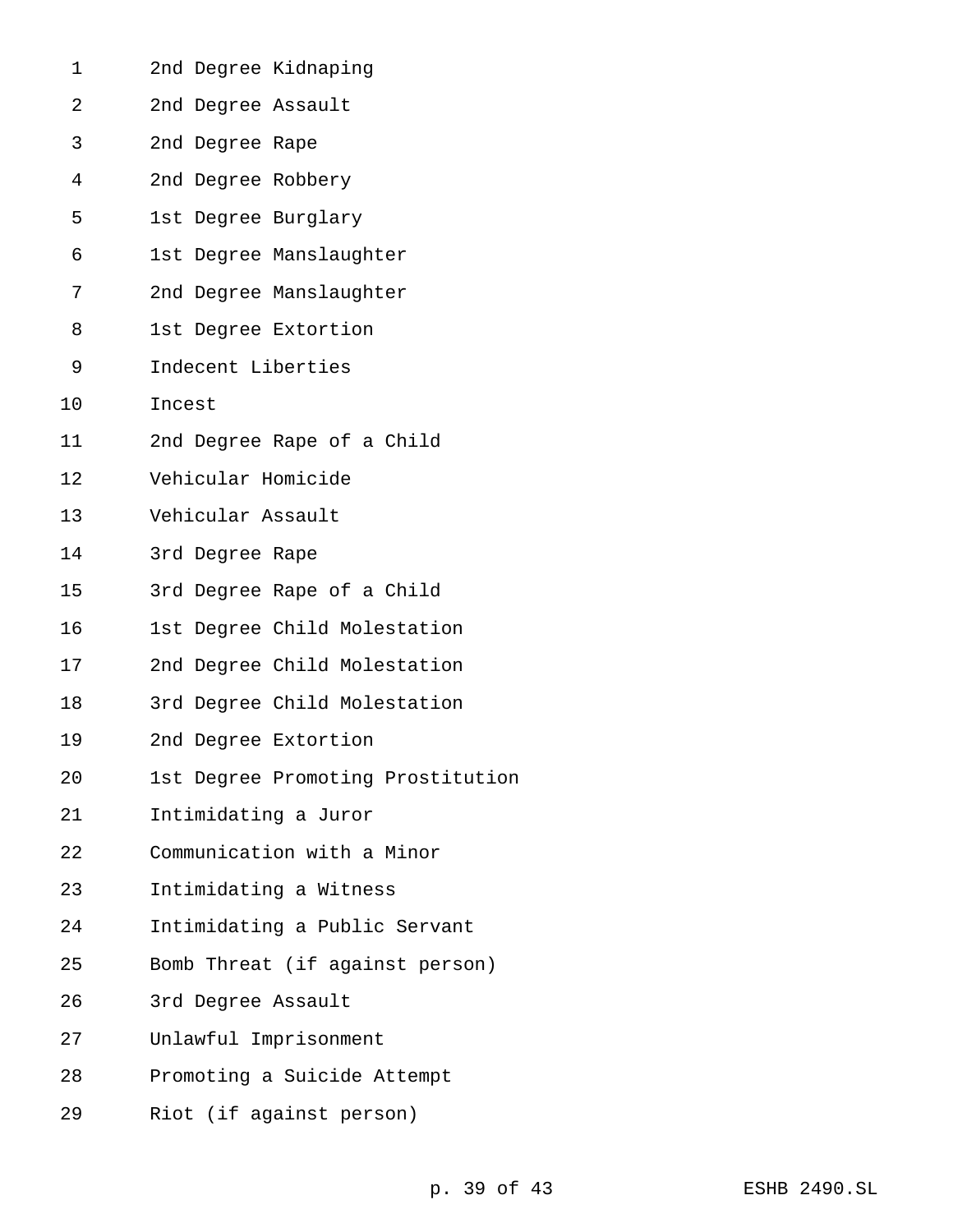| 1  | 2nd Degree Kidnaping              |
|----|-----------------------------------|
| 2  | 2nd Degree Assault                |
| 3  | 2nd Degree Rape                   |
| 4  | 2nd Degree Robbery                |
| 5  | 1st Degree Burglary               |
| 6  | 1st Degree Manslaughter           |
| 7  | 2nd Degree Manslaughter           |
| 8  | 1st Degree Extortion              |
| 9  | Indecent Liberties                |
| 10 | Incest                            |
| 11 | 2nd Degree Rape of a Child        |
| 12 | Vehicular Homicide                |
| 13 | Vehicular Assault                 |
| 14 | 3rd Degree Rape                   |
| 15 | 3rd Degree Rape of a Child        |
| 16 | 1st Degree Child Molestation      |
| 17 | 2nd Degree Child Molestation      |
| 18 | 3rd Degree Child Molestation      |
| 19 | 2nd Degree Extortion              |
| 20 | 1st Degree Promoting Prostitution |
| 21 | Intimidating a Juror              |
| 22 | Communication with a Minor        |
| 23 | Intimidating a Witness            |
| 24 | Intimidating a Public Servant     |
| 25 | Bomb Threat (if against person)   |
| 26 | 3rd Degree Assault                |
| 27 | Unlawful Imprisonment             |
| 28 | Promoting a Suicide Attempt       |
| 29 | Riot (if against person)          |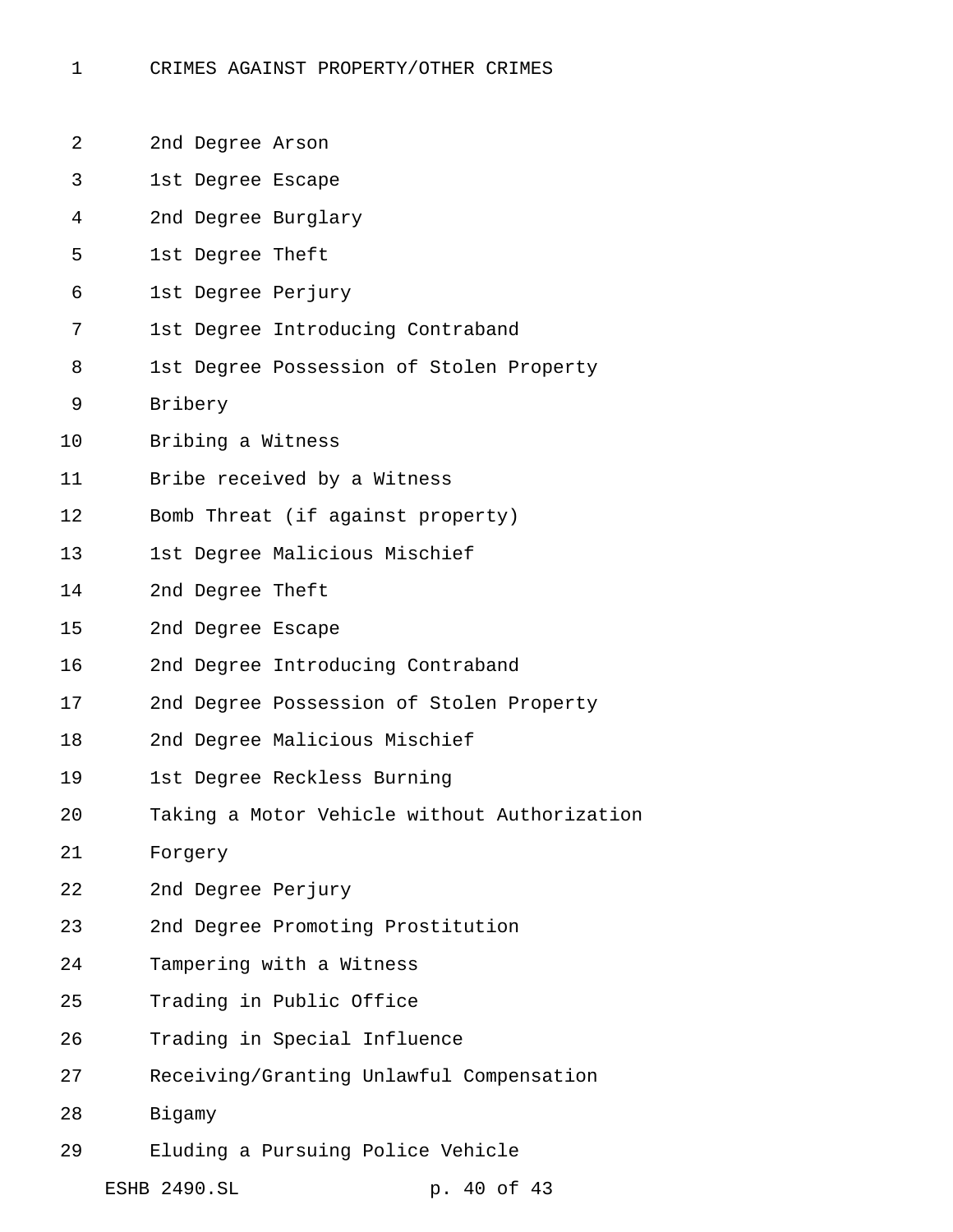- CRIMES AGAINST PROPERTY/OTHER CRIMES
- 2nd Degree Arson
- 1st Degree Escape
- 2nd Degree Burglary
- 1st Degree Theft
- 1st Degree Perjury
- 1st Degree Introducing Contraband
- 1st Degree Possession of Stolen Property
- Bribery
- Bribing a Witness
- Bribe received by a Witness
- Bomb Threat (if against property)
- 1st Degree Malicious Mischief
- 2nd Degree Theft
- 2nd Degree Escape
- 2nd Degree Introducing Contraband
- 2nd Degree Possession of Stolen Property
- 2nd Degree Malicious Mischief
- 1st Degree Reckless Burning
- Taking a Motor Vehicle without Authorization
- Forgery
- 2nd Degree Perjury
- 2nd Degree Promoting Prostitution
- Tampering with a Witness
- Trading in Public Office
- Trading in Special Influence
- Receiving/Granting Unlawful Compensation
- Bigamy
- Eluding a Pursuing Police Vehicle
	- ESHB 2490.SL p. 40 of 43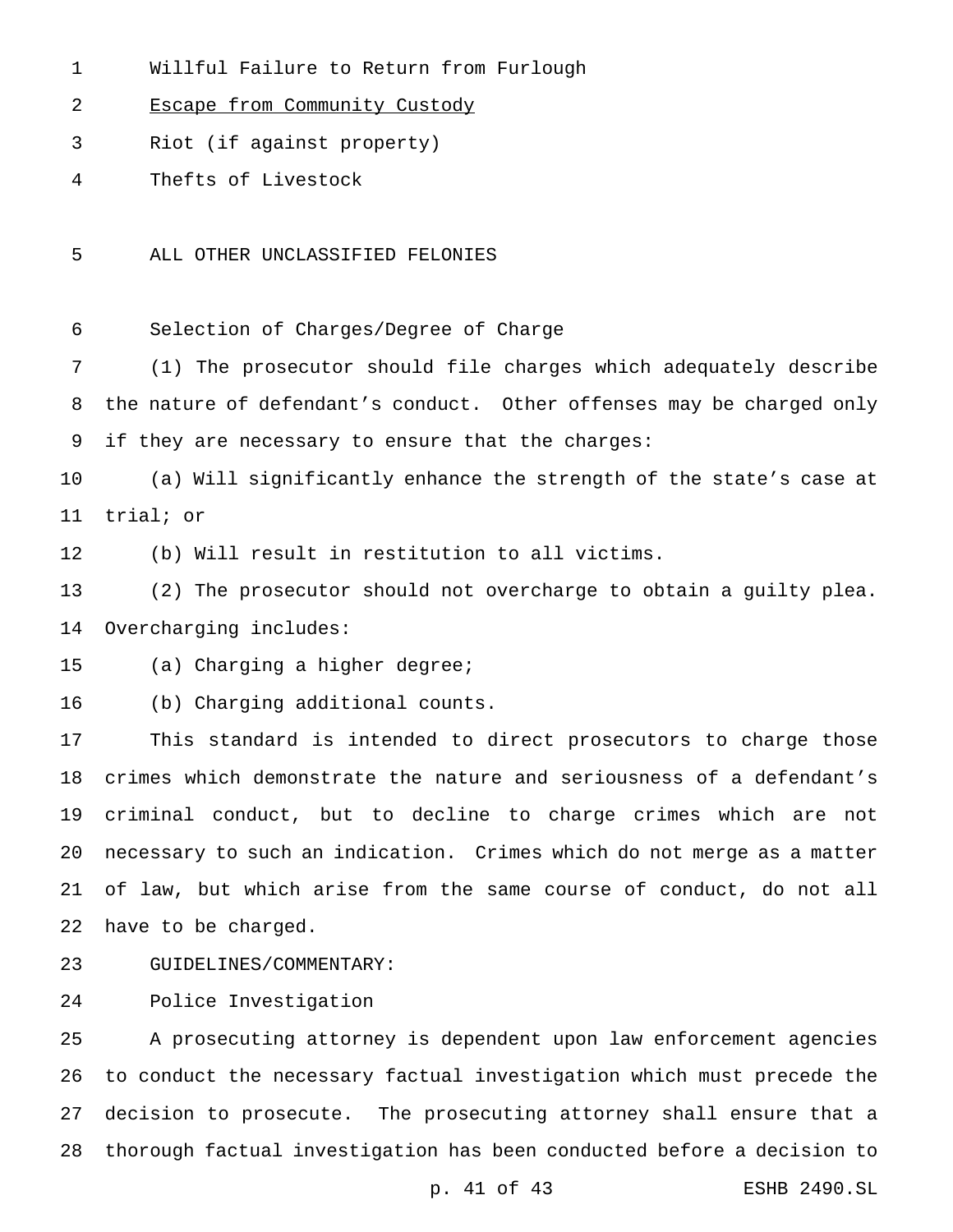- Willful Failure to Return from Furlough
- Escape from Community Custody
- Riot (if against property)
- Thefts of Livestock
- ALL OTHER UNCLASSIFIED FELONIES

Selection of Charges/Degree of Charge

 (1) The prosecutor should file charges which adequately describe the nature of defendant's conduct. Other offenses may be charged only if they are necessary to ensure that the charges:

 (a) Will significantly enhance the strength of the state's case at trial; or

(b) Will result in restitution to all victims.

 (2) The prosecutor should not overcharge to obtain a guilty plea. Overcharging includes:

(a) Charging a higher degree;

(b) Charging additional counts.

 This standard is intended to direct prosecutors to charge those crimes which demonstrate the nature and seriousness of a defendant's criminal conduct, but to decline to charge crimes which are not necessary to such an indication. Crimes which do not merge as a matter of law, but which arise from the same course of conduct, do not all have to be charged.

GUIDELINES/COMMENTARY:

Police Investigation

 A prosecuting attorney is dependent upon law enforcement agencies to conduct the necessary factual investigation which must precede the decision to prosecute. The prosecuting attorney shall ensure that a thorough factual investigation has been conducted before a decision to

p. 41 of 43 ESHB 2490.SL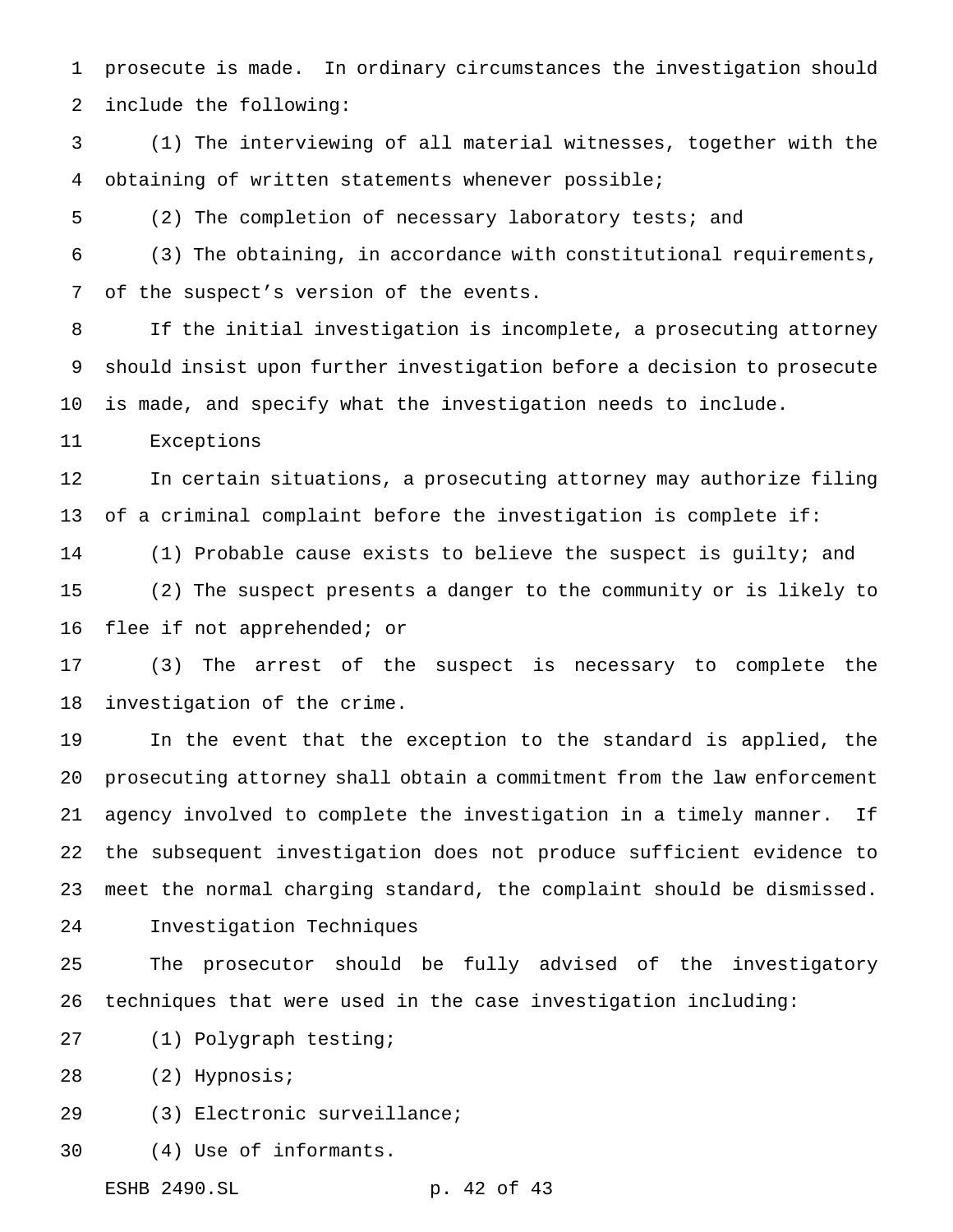prosecute is made. In ordinary circumstances the investigation should include the following:

 (1) The interviewing of all material witnesses, together with the obtaining of written statements whenever possible;

(2) The completion of necessary laboratory tests; and

 (3) The obtaining, in accordance with constitutional requirements, of the suspect's version of the events.

 If the initial investigation is incomplete, a prosecuting attorney should insist upon further investigation before a decision to prosecute is made, and specify what the investigation needs to include.

Exceptions

 In certain situations, a prosecuting attorney may authorize filing of a criminal complaint before the investigation is complete if: (1) Probable cause exists to believe the suspect is guilty; and (2) The suspect presents a danger to the community or is likely to flee if not apprehended; or

 (3) The arrest of the suspect is necessary to complete the investigation of the crime.

 In the event that the exception to the standard is applied, the prosecuting attorney shall obtain a commitment from the law enforcement agency involved to complete the investigation in a timely manner. If the subsequent investigation does not produce sufficient evidence to meet the normal charging standard, the complaint should be dismissed.

Investigation Techniques

 The prosecutor should be fully advised of the investigatory techniques that were used in the case investigation including:

(1) Polygraph testing;

(2) Hypnosis;

- (3) Electronic surveillance;
- (4) Use of informants.

ESHB 2490.SL p. 42 of 43